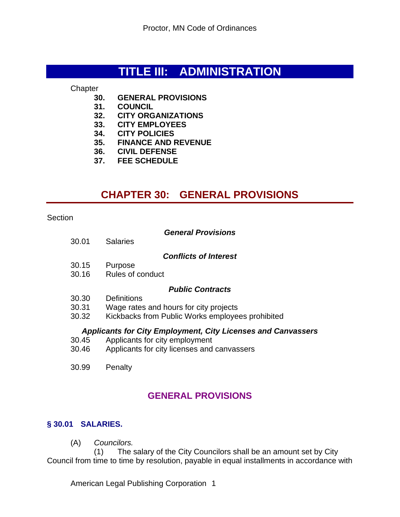# **TITLE III: ADMINISTRATION**

**Chapter** 

- **30. GENERAL PROVISIONS**
- **31. COUNCIL**
- **32. CITY ORGANIZATIONS**
- **33. CITY EMPLOYEES**
- **34. CITY POLICIES**
- **35. FINANCE AND REVENUE**
- **36. CIVIL DEFENSE**
- **37. FEE SCHEDULE**

# **CHAPTER 30: GENERAL PROVISIONS**

**Section** 

|  | <b>General Provisions</b> |
|--|---------------------------|
|--|---------------------------|

30.01 Salaries

#### *Conflicts of Interest*

- 30.15 Purpose
- 30.16 Rules of conduct

## *Public Contracts*

- 30.30 Definitions
- 30.31 Wage rates and hours for city projects
- 30.32 Kickbacks from Public Works employees prohibited

## *Applicants for City Employment, City Licenses and Canvassers*

- 30.45 Applicants for city employment
- 30.46 Applicants for city licenses and canvassers
- 30.99 Penalty

## **GENERAL PROVISIONS**

## **§ 30.01 SALARIES.**

(A) *Councilors.*

 (1) The salary of the City Councilors shall be an amount set by City Council from time to time by resolution, payable in equal installments in accordance with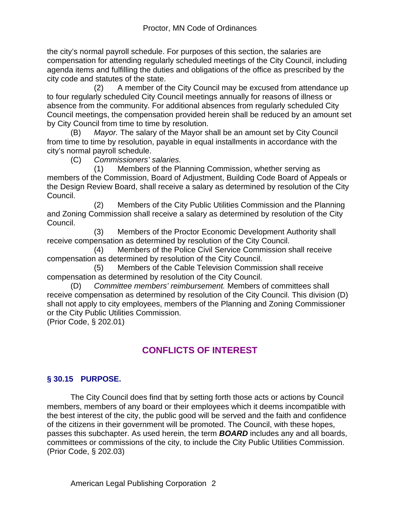the city's normal payroll schedule. For purposes of this section, the salaries are compensation for attending regularly scheduled meetings of the City Council, including agenda items and fulfilling the duties and obligations of the office as prescribed by the city code and statutes of the state.

 (2) A member of the City Council may be excused from attendance up to four regularly scheduled City Council meetings annually for reasons of illness or absence from the community. For additional absences from regularly scheduled City Council meetings, the compensation provided herein shall be reduced by an amount set by City Council from time to time by resolution.

(B) *Mayor.* The salary of the Mayor shall be an amount set by City Council from time to time by resolution, payable in equal installments in accordance with the city's normal payroll schedule.

(C) *Commissioners' salaries.*

 (1) Members of the Planning Commission, whether serving as members of the Commission, Board of Adjustment, Building Code Board of Appeals or the Design Review Board, shall receive a salary as determined by resolution of the City Council.

 (2) Members of the City Public Utilities Commission and the Planning and Zoning Commission shall receive a salary as determined by resolution of the City Council.

 (3) Members of the Proctor Economic Development Authority shall receive compensation as determined by resolution of the City Council.

 (4) Members of the Police Civil Service Commission shall receive compensation as determined by resolution of the City Council.

 (5) Members of the Cable Television Commission shall receive compensation as determined by resolution of the City Council.

(D) *Committee members' reimbursement.* Members of committees shall receive compensation as determined by resolution of the City Council. This division (D) shall not apply to city employees, members of the Planning and Zoning Commissioner or the City Public Utilities Commission.

(Prior Code, § 202.01)

## **CONFLICTS OF INTEREST**

## **§ 30.15 PURPOSE.**

The City Council does find that by setting forth those acts or actions by Council members, members of any board or their employees which it deems incompatible with the best interest of the city, the public good will be served and the faith and confidence of the citizens in their government will be promoted. The Council, with these hopes, passes this subchapter. As used herein, the term *BOARD* includes any and all boards, committees or commissions of the city, to include the City Public Utilities Commission. (Prior Code, § 202.03)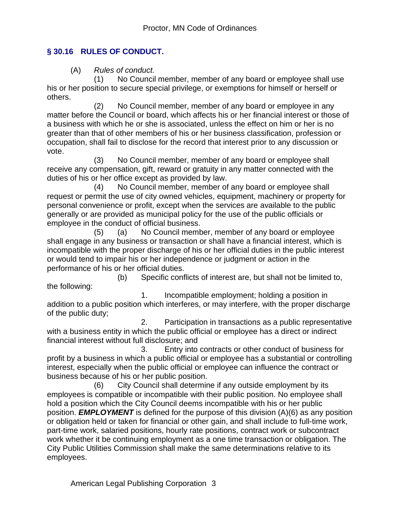## **§ 30.16 RULES OF CONDUCT.**

(A) *Rules of conduct.*

 (1) No Council member, member of any board or employee shall use his or her position to secure special privilege, or exemptions for himself or herself or others.

 (2) No Council member, member of any board or employee in any matter before the Council or board, which affects his or her financial interest or those of a business with which he or she is associated, unless the effect on him or her is no greater than that of other members of his or her business classification, profession or occupation, shall fail to disclose for the record that interest prior to any discussion or vote.

 (3) No Council member, member of any board or employee shall receive any compensation, gift, reward or gratuity in any matter connected with the duties of his or her office except as provided by law.

 (4) No Council member, member of any board or employee shall request or permit the use of city owned vehicles, equipment, machinery or property for personal convenience or profit, except when the services are available to the public generally or are provided as municipal policy for the use of the public officials or employee in the conduct of official business.

 (5) (a) No Council member, member of any board or employee shall engage in any business or transaction or shall have a financial interest, which is incompatible with the proper discharge of his or her official duties in the public interest or would tend to impair his or her independence or judgment or action in the performance of his or her official duties.

 (b) Specific conflicts of interest are, but shall not be limited to, the following:

 1. Incompatible employment; holding a position in addition to a public position which interferes, or may interfere, with the proper discharge of the public duty;

 2. Participation in transactions as a public representative with a business entity in which the public official or employee has a direct or indirect financial interest without full disclosure; and

 3. Entry into contracts or other conduct of business for profit by a business in which a public official or employee has a substantial or controlling interest, especially when the public official or employee can influence the contract or business because of his or her public position.

 (6) City Council shall determine if any outside employment by its employees is compatible or incompatible with their public position. No employee shall hold a position which the City Council deems incompatible with his or her public position. *EMPLOYMENT* is defined for the purpose of this division (A)(6) as any position or obligation held or taken for financial or other gain, and shall include to full-time work, part-time work, salaried positions, hourly rate positions, contract work or subcontract work whether it be continuing employment as a one time transaction or obligation. The City Public Utilities Commission shall make the same determinations relative to its employees.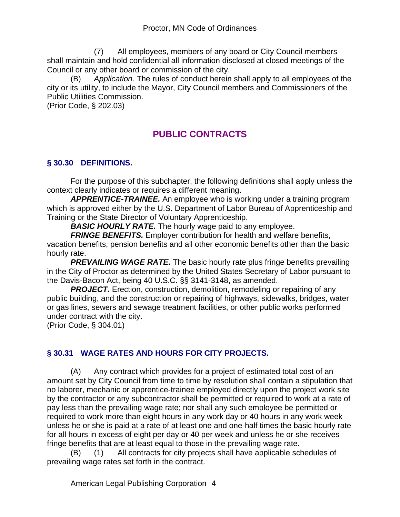(7) All employees, members of any board or City Council members shall maintain and hold confidential all information disclosed at closed meetings of the Council or any other board or commission of the city.

(B) *Application.* The rules of conduct herein shall apply to all employees of the city or its utility, to include the Mayor, City Council members and Commissioners of the Public Utilities Commission.

(Prior Code, § 202.03)

# **PUBLIC CONTRACTS**

## **§ 30.30 DEFINITIONS.**

For the purpose of this subchapter, the following definitions shall apply unless the context clearly indicates or requires a different meaning.

*APPRENTICE-TRAINEE.* An employee who is working under a training program which is approved either by the U.S. Department of Labor Bureau of Apprenticeship and Training or the State Director of Voluntary Apprenticeship.

*BASIC HOURLY RATE.* The hourly wage paid to any employee.

**FRINGE BENEFITS.** Employer contribution for health and welfare benefits, vacation benefits, pension benefits and all other economic benefits other than the basic hourly rate.

*PREVAILING WAGE RATE.* The basic hourly rate plus fringe benefits prevailing in the City of Proctor as determined by the United States Secretary of Labor pursuant to the Davis-Bacon Act, being 40 U.S.C. §§ 3141-3148, as amended.

**PROJECT.** Erection, construction, demolition, remodeling or repairing of any public building, and the construction or repairing of highways, sidewalks, bridges, water or gas lines, sewers and sewage treatment facilities, or other public works performed under contract with the city.

(Prior Code, § 304.01)

## **§ 30.31 WAGE RATES AND HOURS FOR CITY PROJECTS.**

(A) Any contract which provides for a project of estimated total cost of an amount set by City Council from time to time by resolution shall contain a stipulation that no laborer, mechanic or apprentice-trainee employed directly upon the project work site by the contractor or any subcontractor shall be permitted or required to work at a rate of pay less than the prevailing wage rate; nor shall any such employee be permitted or required to work more than eight hours in any work day or 40 hours in any work week unless he or she is paid at a rate of at least one and one-half times the basic hourly rate for all hours in excess of eight per day or 40 per week and unless he or she receives fringe benefits that are at least equal to those in the prevailing wage rate.

(B) (1) All contracts for city projects shall have applicable schedules of prevailing wage rates set forth in the contract.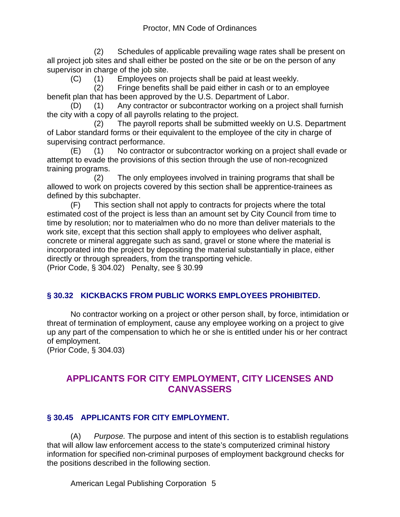(2) Schedules of applicable prevailing wage rates shall be present on all project job sites and shall either be posted on the site or be on the person of any supervisor in charge of the job site.

(C) (1) Employees on projects shall be paid at least weekly.

 (2) Fringe benefits shall be paid either in cash or to an employee benefit plan that has been approved by the U.S. Department of Labor.

(D) (1) Any contractor or subcontractor working on a project shall furnish the city with a copy of all payrolls relating to the project.

 (2) The payroll reports shall be submitted weekly on U.S. Department of Labor standard forms or their equivalent to the employee of the city in charge of supervising contract performance.

(E) (1) No contractor or subcontractor working on a project shall evade or attempt to evade the provisions of this section through the use of non-recognized training programs.

 (2) The only employees involved in training programs that shall be allowed to work on projects covered by this section shall be apprentice-trainees as defined by this subchapter.

(F) This section shall not apply to contracts for projects where the total estimated cost of the project is less than an amount set by City Council from time to time by resolution; nor to materialmen who do no more than deliver materials to the work site, except that this section shall apply to employees who deliver asphalt, concrete or mineral aggregate such as sand, gravel or stone where the material is incorporated into the project by depositing the material substantially in place, either directly or through spreaders, from the transporting vehicle. (Prior Code, § 304.02) Penalty, see § 30.99

## **§ 30.32 KICKBACKS FROM PUBLIC WORKS EMPLOYEES PROHIBITED.**

No contractor working on a project or other person shall, by force, intimidation or threat of termination of employment, cause any employee working on a project to give up any part of the compensation to which he or she is entitled under his or her contract of employment.

(Prior Code, § 304.03)

## **APPLICANTS FOR CITY EMPLOYMENT, CITY LICENSES AND CANVASSERS**

## **§ 30.45 APPLICANTS FOR CITY EMPLOYMENT.**

(A) *Purpose.* The purpose and intent of this section is to establish regulations that will allow law enforcement access to the state's computerized criminal history information for specified non-criminal purposes of employment background checks for the positions described in the following section.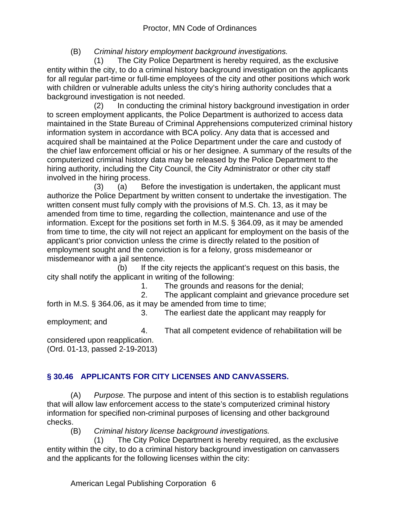(B) *Criminal history employment background investigations.*

 (1) The City Police Department is hereby required, as the exclusive entity within the city, to do a criminal history background investigation on the applicants for all regular part-time or full-time employees of the city and other positions which work with children or vulnerable adults unless the city's hiring authority concludes that a background investigation is not needed.

 (2) In conducting the criminal history background investigation in order to screen employment applicants, the Police Department is authorized to access data maintained in the State Bureau of Criminal Apprehensions computerized criminal history information system in accordance with BCA policy. Any data that is accessed and acquired shall be maintained at the Police Department under the care and custody of the chief law enforcement official or his or her designee. A summary of the results of the computerized criminal history data may be released by the Police Department to the hiring authority, including the City Council, the City Administrator or other city staff involved in the hiring process.

 (3) (a) Before the investigation is undertaken, the applicant must authorize the Police Department by written consent to undertake the investigation. The written consent must fully comply with the provisions of M.S. Ch. 13, as it may be amended from time to time, regarding the collection, maintenance and use of the information. Except for the positions set forth in M.S. § 364.09, as it may be amended from time to time, the city will not reject an applicant for employment on the basis of the applicant's prior conviction unless the crime is directly related to the position of employment sought and the conviction is for a felony, gross misdemeanor or misdemeanor with a jail sentence.

 (b) If the city rejects the applicant's request on this basis, the city shall notify the applicant in writing of the following:

1. The grounds and reasons for the denial;

 2. The applicant complaint and grievance procedure set forth in M.S. § 364.06, as it may be amended from time to time;

3. The earliest date the applicant may reapply for

employment; and

4. That all competent evidence of rehabilitation will be

considered upon reapplication. (Ord. 01-13, passed 2-19-2013)

## **§ 30.46 APPLICANTS FOR CITY LICENSES AND CANVASSERS.**

(A) *Purpose.* The purpose and intent of this section is to establish regulations that will allow law enforcement access to the state's computerized criminal history information for specified non-criminal purposes of licensing and other background checks.

(B) *Criminal history license background investigations.*

 (1) The City Police Department is hereby required, as the exclusive entity within the city, to do a criminal history background investigation on canvassers and the applicants for the following licenses within the city: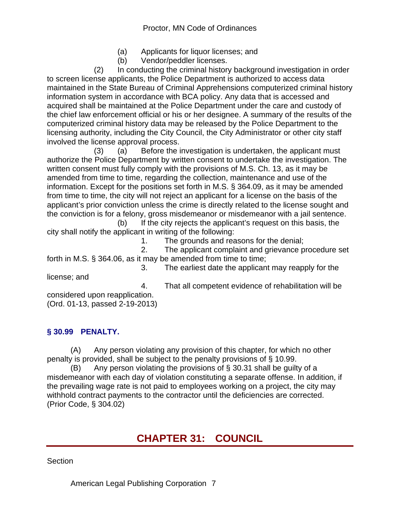- (a) Applicants for liquor licenses; and
- (b) Vendor/peddler licenses.

 (2) In conducting the criminal history background investigation in order to screen license applicants, the Police Department is authorized to access data maintained in the State Bureau of Criminal Apprehensions computerized criminal history information system in accordance with BCA policy. Any data that is accessed and acquired shall be maintained at the Police Department under the care and custody of the chief law enforcement official or his or her designee. A summary of the results of the computerized criminal history data may be released by the Police Department to the licensing authority, including the City Council, the City Administrator or other city staff involved the license approval process.

 (3) (a) Before the investigation is undertaken, the applicant must authorize the Police Department by written consent to undertake the investigation. The written consent must fully comply with the provisions of M.S. Ch. 13, as it may be amended from time to time, regarding the collection, maintenance and use of the information. Except for the positions set forth in M.S. § 364.09, as it may be amended from time to time, the city will not reject an applicant for a license on the basis of the applicant's prior conviction unless the crime is directly related to the license sought and the conviction is for a felony, gross misdemeanor or misdemeanor with a jail sentence.

 (b) If the city rejects the applicant's request on this basis, the city shall notify the applicant in writing of the following:

1. The grounds and reasons for the denial;

 2. The applicant complaint and grievance procedure set forth in M.S. § 364.06, as it may be amended from time to time;

3. The earliest date the applicant may reapply for the

license; and

4. That all competent evidence of rehabilitation will be

considered upon reapplication. (Ord. 01-13, passed 2-19-2013)

## **§ 30.99 PENALTY.**

(A) Any person violating any provision of this chapter, for which no other penalty is provided, shall be subject to the penalty provisions of § 10.99.

(B) Any person violating the provisions of  $\S$  30.31 shall be guilty of a misdemeanor with each day of violation constituting a separate offense. In addition, if the prevailing wage rate is not paid to employees working on a project, the city may withhold contract payments to the contractor until the deficiencies are corrected. (Prior Code, § 304.02)

# **CHAPTER 31: COUNCIL**

**Section**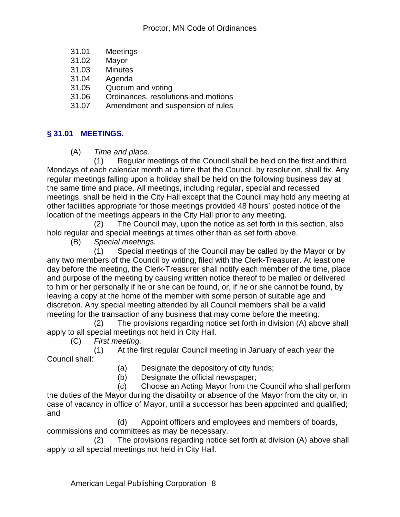- 31.01 Meetings
- 31.02 Mayor
- 31.03 Minutes
- 31.04 Agenda
- 31.05 Quorum and voting
- 31.06 Ordinances, resolutions and motions
- 31.07 Amendment and suspension of rules

## **§ 31.01 MEETINGS.**

(A) *Time and place.*

 (1) Regular meetings of the Council shall be held on the first and third Mondays of each calendar month at a time that the Council, by resolution, shall fix. Any regular meetings falling upon a holiday shall be held on the following business day at the same time and place. All meetings, including regular, special and recessed meetings, shall be held in the City Hall except that the Council may hold any meeting at other facilities appropriate for those meetings provided 48 hours' posted notice of the location of the meetings appears in the City Hall prior to any meeting.

 (2) The Council may, upon the notice as set forth in this section, also hold regular and special meetings at times other than as set forth above.

(B) *Special meetings.*

 (1) Special meetings of the Council may be called by the Mayor or by any two members of the Council by writing, filed with the Clerk-Treasurer. At least one day before the meeting, the Clerk-Treasurer shall notify each member of the time, place and purpose of the meeting by causing written notice thereof to be mailed or delivered to him or her personally if he or she can be found, or, if he or she cannot be found, by leaving a copy at the home of the member with some person of suitable age and discretion. Any special meeting attended by all Council members shall be a valid meeting for the transaction of any business that may come before the meeting.

 (2) The provisions regarding notice set forth in division (A) above shall apply to all special meetings not held in City Hall.

(C) *First meeting.*

 (1) At the first regular Council meeting in January of each year the Council shall:

(a) Designate the depository of city funds;

(b) Designate the official newspaper;

 (c) Choose an Acting Mayor from the Council who shall perform the duties of the Mayor during the disability or absence of the Mayor from the city or, in case of vacancy in office of Mayor, until a successor has been appointed and qualified; and

 (d) Appoint officers and employees and members of boards, commissions and committees as may be necessary.

 (2) The provisions regarding notice set forth at division (A) above shall apply to all special meetings not held in City Hall.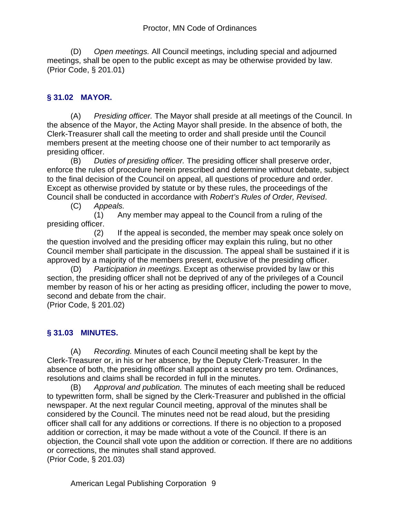(D) *Open meetings.* All Council meetings, including special and adjourned meetings, shall be open to the public except as may be otherwise provided by law. (Prior Code, § 201.01)

## **§ 31.02 MAYOR.**

(A) *Presiding officer.* The Mayor shall preside at all meetings of the Council. In the absence of the Mayor, the Acting Mayor shall preside. In the absence of both, the Clerk-Treasurer shall call the meeting to order and shall preside until the Council members present at the meeting choose one of their number to act temporarily as presiding officer.

(B) *Duties of presiding officer.* The presiding officer shall preserve order, enforce the rules of procedure herein prescribed and determine without debate, subject to the final decision of the Council on appeal, all questions of procedure and order. Except as otherwise provided by statute or by these rules, the proceedings of the Council shall be conducted in accordance with *Robert's Rules of Order, Revised*.

(C) *Appeals.*

 (1) Any member may appeal to the Council from a ruling of the presiding officer.

 (2) If the appeal is seconded, the member may speak once solely on the question involved and the presiding officer may explain this ruling, but no other Council member shall participate in the discussion. The appeal shall be sustained if it is approved by a majority of the members present, exclusive of the presiding officer.

(D) *Participation in meetings.* Except as otherwise provided by law or this section, the presiding officer shall not be deprived of any of the privileges of a Council member by reason of his or her acting as presiding officer, including the power to move, second and debate from the chair.

(Prior Code, § 201.02)

## **§ 31.03 MINUTES.**

(A) *Recording.* Minutes of each Council meeting shall be kept by the Clerk-Treasurer or, in his or her absence, by the Deputy Clerk-Treasurer. In the absence of both, the presiding officer shall appoint a secretary pro tem. Ordinances, resolutions and claims shall be recorded in full in the minutes.

(B) *Approval and publication.* The minutes of each meeting shall be reduced to typewritten form, shall be signed by the Clerk-Treasurer and published in the official newspaper. At the next regular Council meeting, approval of the minutes shall be considered by the Council. The minutes need not be read aloud, but the presiding officer shall call for any additions or corrections. If there is no objection to a proposed addition or correction, it may be made without a vote of the Council. If there is an objection, the Council shall vote upon the addition or correction. If there are no additions or corrections, the minutes shall stand approved. (Prior Code, § 201.03)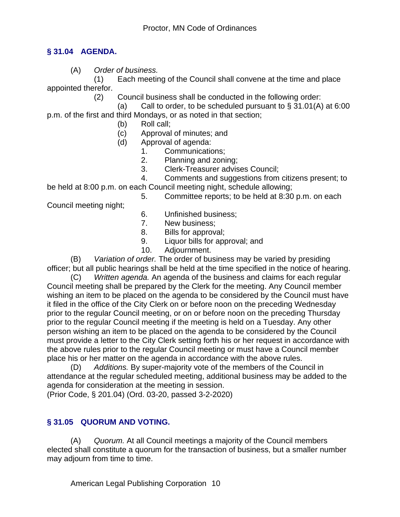## **§ 31.04 AGENDA.**

(A) *Order of business.*

 (1) Each meeting of the Council shall convene at the time and place appointed therefor.

- (2) Council business shall be conducted in the following order:
- (a) Call to order, to be scheduled pursuant to  $\S$  31.01(A) at 6:00

p.m. of the first and third Mondays, or as noted in that section;

- (b) Roll call;
- (c) Approval of minutes; and
- (d) Approval of agenda:
	- 1. Communications;
	- 2. Planning and zoning;
	- 3. Clerk-Treasurer advises Council;
	- 4. Comments and suggestions from citizens present; to

be held at 8:00 p.m. on each Council meeting night, schedule allowing; 5. Committee reports; to be held at 8:30 p.m. on each

Council meeting night;

- 
- 6. Unfinished business;
- 7. New business;
- 8. Bills for approval;
- 9. Liquor bills for approval; and
- 10. Adjournment.

(B) *Variation of order.* The order of business may be varied by presiding officer; but all public hearings shall be held at the time specified in the notice of hearing.

(C) *Written agenda.* An agenda of the business and claims for each regular Council meeting shall be prepared by the Clerk for the meeting. Any Council member wishing an item to be placed on the agenda to be considered by the Council must have it filed in the office of the City Clerk on or before noon on the preceding Wednesday prior to the regular Council meeting, or on or before noon on the preceding Thursday prior to the regular Council meeting if the meeting is held on a Tuesday. Any other person wishing an item to be placed on the agenda to be considered by the Council must provide a letter to the City Clerk setting forth his or her request in accordance with the above rules prior to the regular Council meeting or must have a Council member place his or her matter on the agenda in accordance with the above rules.

(D) *Additions.* By super-majority vote of the members of the Council in attendance at the regular scheduled meeting, additional business may be added to the agenda for consideration at the meeting in session.

(Prior Code, § 201.04) (Ord. 03-20, passed 3-2-2020)

## **§ 31.05 QUORUM AND VOTING.**

(A) *Quorum.* At all Council meetings a majority of the Council members elected shall constitute a quorum for the transaction of business, but a smaller number may adjourn from time to time.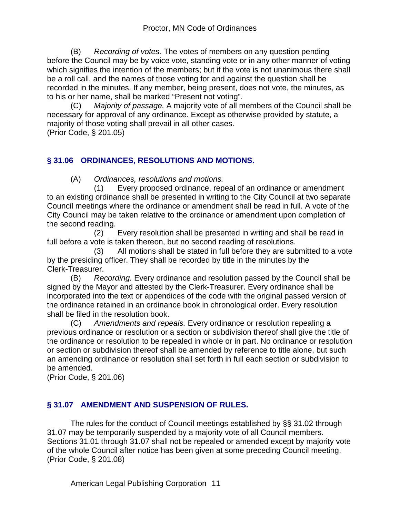(B) *Recording of votes.* The votes of members on any question pending before the Council may be by voice vote, standing vote or in any other manner of voting which signifies the intention of the members; but if the vote is not unanimous there shall be a roll call, and the names of those voting for and against the question shall be recorded in the minutes. If any member, being present, does not vote, the minutes, as to his or her name, shall be marked "Present not voting".

(C) *Majority of passage.* A majority vote of all members of the Council shall be necessary for approval of any ordinance. Except as otherwise provided by statute, a majority of those voting shall prevail in all other cases.

(Prior Code, § 201.05)

## **§ 31.06 ORDINANCES, RESOLUTIONS AND MOTIONS.**

(A) *Ordinances, resolutions and motions.*

 (1) Every proposed ordinance, repeal of an ordinance or amendment to an existing ordinance shall be presented in writing to the City Council at two separate Council meetings where the ordinance or amendment shall be read in full. A vote of the City Council may be taken relative to the ordinance or amendment upon completion of the second reading.

 (2) Every resolution shall be presented in writing and shall be read in full before a vote is taken thereon, but no second reading of resolutions.

 (3) All motions shall be stated in full before they are submitted to a vote by the presiding officer. They shall be recorded by title in the minutes by the Clerk-Treasurer.

(B) *Recording.* Every ordinance and resolution passed by the Council shall be signed by the Mayor and attested by the Clerk-Treasurer. Every ordinance shall be incorporated into the text or appendices of the code with the original passed version of the ordinance retained in an ordinance book in chronological order. Every resolution shall be filed in the resolution book.

(C) *Amendments and repeals.* Every ordinance or resolution repealing a previous ordinance or resolution or a section or subdivision thereof shall give the title of the ordinance or resolution to be repealed in whole or in part. No ordinance or resolution or section or subdivision thereof shall be amended by reference to title alone, but such an amending ordinance or resolution shall set forth in full each section or subdivision to be amended.

(Prior Code, § 201.06)

## **§ 31.07 AMENDMENT AND SUSPENSION OF RULES.**

The rules for the conduct of Council meetings established by §§ 31.02 through 31.07 may be temporarily suspended by a majority vote of all Council members. Sections 31.01 through 31.07 shall not be repealed or amended except by majority vote of the whole Council after notice has been given at some preceding Council meeting. (Prior Code, § 201.08)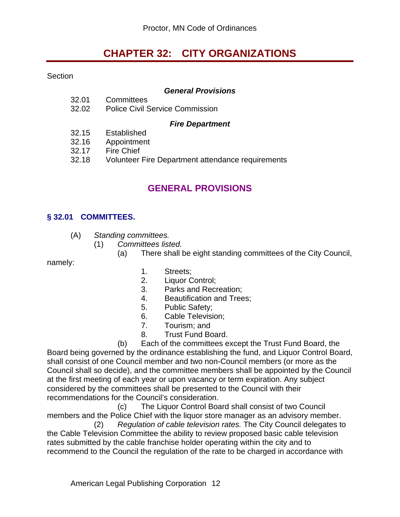# **CHAPTER 32: CITY ORGANIZATIONS**

**Section** 

#### *General Provisions*

- 32.01 Committees
- 32.02 Police Civil Service Commission

#### *Fire Department*

- 32.15 Established
- 32.16 Appointment
- 32.17 Fire Chief
- 32.18 Volunteer Fire Department attendance requirements

## **GENERAL PROVISIONS**

#### **§ 32.01 COMMITTEES.**

- (A) *Standing committees.*
	- (1) *Committees listed.*
		- (a) There shall be eight standing committees of the City Council,

namely:

- 1. Streets;
- 2. Liquor Control;
- 3. Parks and Recreation;
- 4. Beautification and Trees;
- 5. Public Safety;
- 6. Cable Television;
- 7. Tourism; and
- 8. Trust Fund Board.

 (b) Each of the committees except the Trust Fund Board, the Board being governed by the ordinance establishing the fund, and Liquor Control Board, shall consist of one Council member and two non-Council members (or more as the Council shall so decide), and the committee members shall be appointed by the Council at the first meeting of each year or upon vacancy or term expiration. Any subject considered by the committees shall be presented to the Council with their recommendations for the Council's consideration.

 (c) The Liquor Control Board shall consist of two Council members and the Police Chief with the liquor store manager as an advisory member.

 (2) *Regulation of cable television rates.* The City Council delegates to the Cable Television Committee the ability to review proposed basic cable television rates submitted by the cable franchise holder operating within the city and to recommend to the Council the regulation of the rate to be charged in accordance with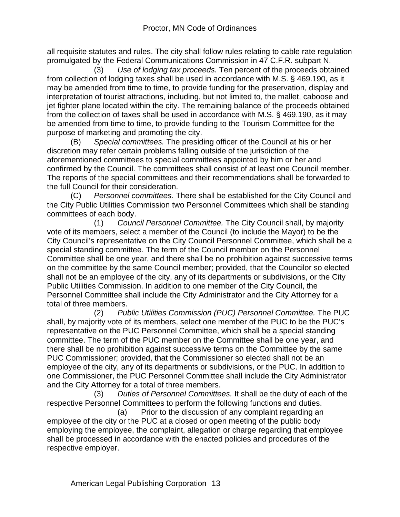all requisite statutes and rules. The city shall follow rules relating to cable rate regulation promulgated by the Federal Communications Commission in 47 C.F.R. subpart N.

 (3) *Use of lodging tax proceeds.* Ten percent of the proceeds obtained from collection of lodging taxes shall be used in accordance with M.S. § 469.190, as it may be amended from time to time, to provide funding for the preservation, display and interpretation of tourist attractions, including, but not limited to, the mallet, caboose and jet fighter plane located within the city. The remaining balance of the proceeds obtained from the collection of taxes shall be used in accordance with M.S. § 469.190, as it may be amended from time to time, to provide funding to the Tourism Committee for the purpose of marketing and promoting the city.

(B) *Special committees.* The presiding officer of the Council at his or her discretion may refer certain problems falling outside of the jurisdiction of the aforementioned committees to special committees appointed by him or her and confirmed by the Council. The committees shall consist of at least one Council member. The reports of the special committees and their recommendations shall be forwarded to the full Council for their consideration.

(C) *Personnel committees.* There shall be established for the City Council and the City Public Utilities Commission two Personnel Committees which shall be standing committees of each body.

 (1) *Council Personnel Committee.* The City Council shall, by majority vote of its members, select a member of the Council (to include the Mayor) to be the City Council's representative on the City Council Personnel Committee, which shall be a special standing committee. The term of the Council member on the Personnel Committee shall be one year, and there shall be no prohibition against successive terms on the committee by the same Council member; provided, that the Councilor so elected shall not be an employee of the city, any of its departments or subdivisions, or the City Public Utilities Commission. In addition to one member of the City Council, the Personnel Committee shall include the City Administrator and the City Attorney for a total of three members.

 (2) *Public Utilities Commission (PUC) Personnel Committee.* The PUC shall, by majority vote of its members, select one member of the PUC to be the PUC's representative on the PUC Personnel Committee, which shall be a special standing committee. The term of the PUC member on the Committee shall be one year, and there shall be no prohibition against successive terms on the Committee by the same PUC Commissioner; provided, that the Commissioner so elected shall not be an employee of the city, any of its departments or subdivisions, or the PUC. In addition to one Commissioner, the PUC Personnel Committee shall include the City Administrator and the City Attorney for a total of three members.

 (3) *Duties of Personnel Committees.* It shall be the duty of each of the respective Personnel Committees to perform the following functions and duties.

 (a) Prior to the discussion of any complaint regarding an employee of the city or the PUC at a closed or open meeting of the public body employing the employee, the complaint, allegation or charge regarding that employee shall be processed in accordance with the enacted policies and procedures of the respective employer.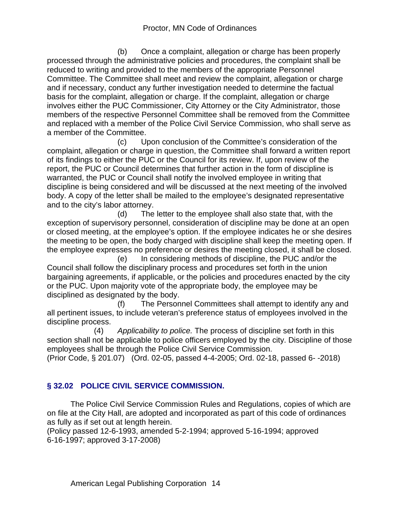(b) Once a complaint, allegation or charge has been properly processed through the administrative policies and procedures, the complaint shall be reduced to writing and provided to the members of the appropriate Personnel Committee. The Committee shall meet and review the complaint, allegation or charge and if necessary, conduct any further investigation needed to determine the factual basis for the complaint, allegation or charge. If the complaint, allegation or charge involves either the PUC Commissioner, City Attorney or the City Administrator, those members of the respective Personnel Committee shall be removed from the Committee and replaced with a member of the Police Civil Service Commission, who shall serve as a member of the Committee.

 (c) Upon conclusion of the Committee's consideration of the complaint, allegation or charge in question, the Committee shall forward a written report of its findings to either the PUC or the Council for its review. If, upon review of the report, the PUC or Council determines that further action in the form of discipline is warranted, the PUC or Council shall notify the involved employee in writing that discipline is being considered and will be discussed at the next meeting of the involved body. A copy of the letter shall be mailed to the employee's designated representative and to the city's labor attorney.

 (d) The letter to the employee shall also state that, with the exception of supervisory personnel, consideration of discipline may be done at an open or closed meeting, at the employee's option. If the employee indicates he or she desires the meeting to be open, the body charged with discipline shall keep the meeting open. If the employee expresses no preference or desires the meeting closed, it shall be closed.

 (e) In considering methods of discipline, the PUC and/or the Council shall follow the disciplinary process and procedures set forth in the union bargaining agreements, if applicable, or the policies and procedures enacted by the city or the PUC. Upon majority vote of the appropriate body, the employee may be disciplined as designated by the body.

 (f) The Personnel Committees shall attempt to identify any and all pertinent issues, to include veteran's preference status of employees involved in the discipline process.

 (4) *Applicability to police.* The process of discipline set forth in this section shall not be applicable to police officers employed by the city. Discipline of those employees shall be through the Police Civil Service Commission.

(Prior Code, § 201.07) (Ord. 02-05, passed 4-4-2005; Ord. 02-18, passed 6- -2018)

## **§ 32.02 POLICE CIVIL SERVICE COMMISSION.**

The Police Civil Service Commission Rules and Regulations, copies of which are on file at the City Hall, are adopted and incorporated as part of this code of ordinances as fully as if set out at length herein.

(Policy passed 12-6-1993, amended 5-2-1994; approved 5-16-1994; approved 6-16-1997; approved 3-17-2008)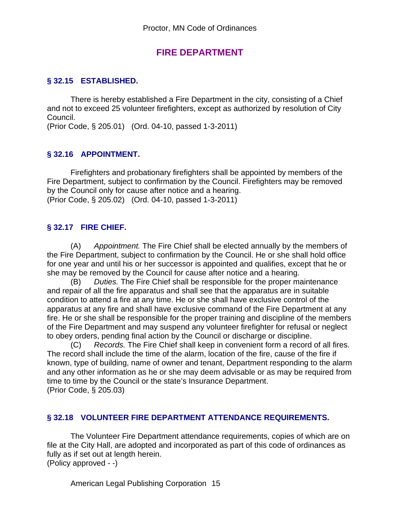## **FIRE DEPARTMENT**

## **§ 32.15 ESTABLISHED.**

There is hereby established a Fire Department in the city, consisting of a Chief and not to exceed 25 volunteer firefighters, except as authorized by resolution of City Council.

(Prior Code, § 205.01) (Ord. 04-10, passed 1-3-2011)

## **§ 32.16 APPOINTMENT.**

Firefighters and probationary firefighters shall be appointed by members of the Fire Department, subject to confirmation by the Council. Firefighters may be removed by the Council only for cause after notice and a hearing. (Prior Code, § 205.02) (Ord. 04-10, passed 1-3-2011)

## **§ 32.17 FIRE CHIEF.**

(A) *Appointment.* The Fire Chief shall be elected annually by the members of the Fire Department, subject to confirmation by the Council. He or she shall hold office for one year and until his or her successor is appointed and qualifies, except that he or she may be removed by the Council for cause after notice and a hearing.

(B) *Duties.* The Fire Chief shall be responsible for the proper maintenance and repair of all the fire apparatus and shall see that the apparatus are in suitable condition to attend a fire at any time. He or she shall have exclusive control of the apparatus at any fire and shall have exclusive command of the Fire Department at any fire. He or she shall be responsible for the proper training and discipline of the members of the Fire Department and may suspend any volunteer firefighter for refusal or neglect to obey orders, pending final action by the Council or discharge or discipline.

(C) *Records.* The Fire Chief shall keep in convenient form a record of all fires. The record shall include the time of the alarm, location of the fire, cause of the fire if known, type of building, name of owner and tenant, Department responding to the alarm and any other information as he or she may deem advisable or as may be required from time to time by the Council or the state's Insurance Department. (Prior Code, § 205.03)

#### **§ 32.18 VOLUNTEER FIRE DEPARTMENT ATTENDANCE REQUIREMENTS.**

The Volunteer Fire Department attendance requirements, copies of which are on file at the City Hall, are adopted and incorporated as part of this code of ordinances as fully as if set out at length herein. (Policy approved - -)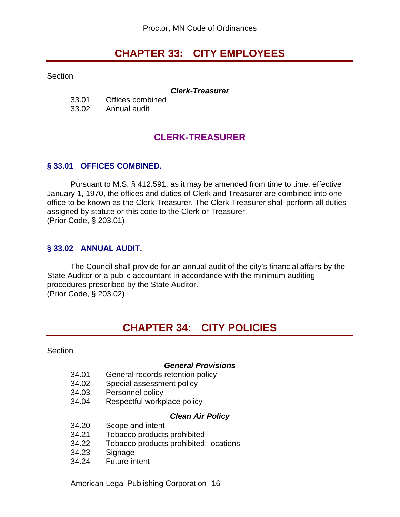# **CHAPTER 33: CITY EMPLOYEES**

Section

#### *Clerk-Treasurer*

| 33.01 | Offices combined |
|-------|------------------|
| 33.02 | Annual audit     |

## **CLERK-TREASURER**

#### **§ 33.01 OFFICES COMBINED.**

Pursuant to M.S. § 412.591, as it may be amended from time to time, effective January 1, 1970, the offices and duties of Clerk and Treasurer are combined into one office to be known as the Clerk-Treasurer. The Clerk-Treasurer shall perform all duties assigned by statute or this code to the Clerk or Treasurer. (Prior Code, § 203.01)

#### **§ 33.02 ANNUAL AUDIT.**

The Council shall provide for an annual audit of the city's financial affairs by the State Auditor or a public accountant in accordance with the minimum auditing procedures prescribed by the State Auditor. (Prior Code, § 203.02)

# **CHAPTER 34: CITY POLICIES**

Section

#### *General Provisions*

- 34.01 General records retention policy
- 34.02 Special assessment policy
- 34.03 Personnel policy
- 34.04 Respectful workplace policy

#### *Clean Air Policy*

- 34.20 Scope and intent
- 34.21 Tobacco products prohibited
- 34.22 Tobacco products prohibited; locations
- 34.23 Signage
- 34.24 Future intent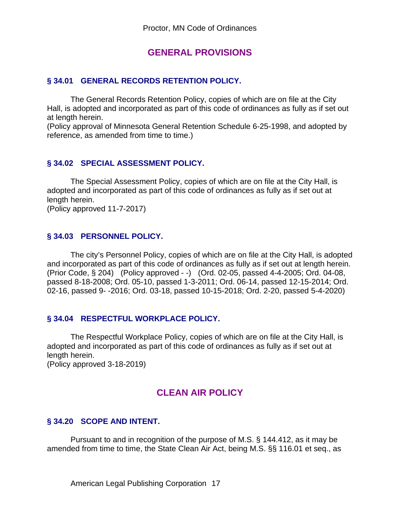## **GENERAL PROVISIONS**

### **§ 34.01 GENERAL RECORDS RETENTION POLICY.**

The General Records Retention Policy, copies of which are on file at the City Hall, is adopted and incorporated as part of this code of ordinances as fully as if set out at length herein.

(Policy approval of Minnesota General Retention Schedule 6-25-1998, and adopted by reference, as amended from time to time.)

## **§ 34.02 SPECIAL ASSESSMENT POLICY.**

The Special Assessment Policy, copies of which are on file at the City Hall, is adopted and incorporated as part of this code of ordinances as fully as if set out at length herein.

(Policy approved 11-7-2017)

#### **§ 34.03 PERSONNEL POLICY.**

The city's Personnel Policy, copies of which are on file at the City Hall, is adopted and incorporated as part of this code of ordinances as fully as if set out at length herein. (Prior Code, § 204) (Policy approved - -) (Ord. 02-05, passed 4-4-2005; Ord. 04-08, passed 8-18-2008; Ord. 05-10, passed 1-3-2011; Ord. 06-14, passed 12-15-2014; Ord. 02-16, passed 9- -2016; Ord. 03-18, passed 10-15-2018; Ord. 2-20, passed 5-4-2020)

#### **§ 34.04 RESPECTFUL WORKPLACE POLICY.**

The Respectful Workplace Policy, copies of which are on file at the City Hall, is adopted and incorporated as part of this code of ordinances as fully as if set out at length herein.

(Policy approved 3-18-2019)

## **CLEAN AIR POLICY**

## **§ 34.20 SCOPE AND INTENT.**

Pursuant to and in recognition of the purpose of M.S. § 144.412, as it may be amended from time to time, the State Clean Air Act, being M.S. §§ 116.01 et seq., as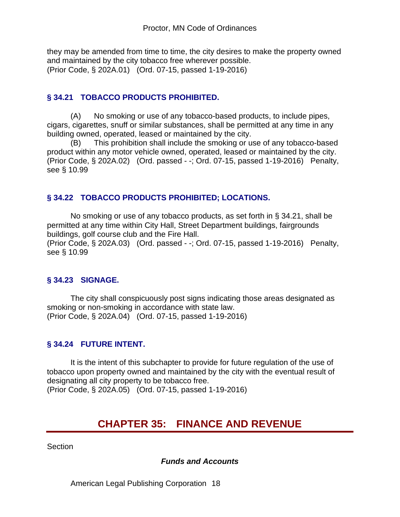they may be amended from time to time, the city desires to make the property owned and maintained by the city tobacco free wherever possible. (Prior Code, § 202A.01) (Ord. 07-15, passed 1-19-2016)

## **§ 34.21 TOBACCO PRODUCTS PROHIBITED.**

(A) No smoking or use of any tobacco-based products, to include pipes, cigars, cigarettes, snuff or similar substances, shall be permitted at any time in any building owned, operated, leased or maintained by the city.

(B) This prohibition shall include the smoking or use of any tobacco-based product within any motor vehicle owned, operated, leased or maintained by the city. (Prior Code, § 202A.02) (Ord. passed - -; Ord. 07-15, passed 1-19-2016) Penalty, see § 10.99

## **§ 34.22 TOBACCO PRODUCTS PROHIBITED; LOCATIONS.**

No smoking or use of any tobacco products, as set forth in § 34.21, shall be permitted at any time within City Hall, Street Department buildings, fairgrounds buildings, golf course club and the Fire Hall. (Prior Code, § 202A.03) (Ord. passed - -; Ord. 07-15, passed 1-19-2016) Penalty, see § 10.99

## **§ 34.23 SIGNAGE.**

The city shall conspicuously post signs indicating those areas designated as smoking or non-smoking in accordance with state law. (Prior Code, § 202A.04) (Ord. 07-15, passed 1-19-2016)

## **§ 34.24 FUTURE INTENT.**

It is the intent of this subchapter to provide for future regulation of the use of tobacco upon property owned and maintained by the city with the eventual result of designating all city property to be tobacco free. (Prior Code, § 202A.05) (Ord. 07-15, passed 1-19-2016)

# **CHAPTER 35: FINANCE AND REVENUE**

**Section** 

## *Funds and Accounts*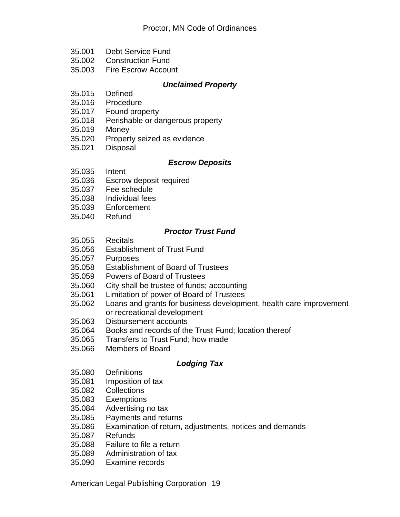- 35.001 Debt Service Fund
- 35.002 Construction Fund
- 35.003 Fire Escrow Account

#### *Unclaimed Property*

- 35.015 Defined
- 35.016 Procedure
- 35.017 Found property
- 35.018 Perishable or dangerous property
- 35.019 Money
- 35.020 Property seized as evidence
- 35.021 Disposal

#### *Escrow Deposits*

- 35.035 Intent
- 35.036 Escrow deposit required
- 35.037 Fee schedule
- 35.038 Individual fees
- 35.039 Enforcement
- 35.040 Refund

#### *Proctor Trust Fund*

- 35.055 Recitals
- 35.056 Establishment of Trust Fund
- 35.057 Purposes
- 35.058 Establishment of Board of Trustees
- 35.059 Powers of Board of Trustees<br>35.060 City shall be trustee of funds;
- City shall be trustee of funds; accounting
- 35.061 Limitation of power of Board of Trustees
- 35.062 Loans and grants for business development, health care improvement or recreational development
- 35.063 Disbursement accounts
- 35.064 Books and records of the Trust Fund; location thereof
- 35.065 Transfers to Trust Fund; how made
- 35.066 Members of Board

## *Lodging Tax*

- 35.080 Definitions
- 35.081 Imposition of tax
- 35.082 Collections
- 35.083 Exemptions
- 35.084 Advertising no tax
- 35.085 Payments and returns
- 35.086 Examination of return, adjustments, notices and demands
- 35.087 Refunds
- 35.088 Failure to file a return
- 35.089 Administration of tax
- 35.090 Examine records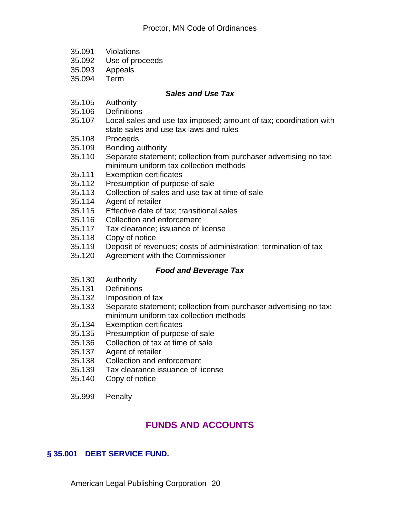- 35.091 Violations
- 35.092 Use of proceeds
- 35.093 Appeals
- 35.094 Term

#### *Sales and Use Tax*

- 35.105 Authority
- 35.106 Definitions
- 35.107 Local sales and use tax imposed; amount of tax; coordination with state sales and use tax laws and rules
- 35.108 Proceeds
- 35.109 Bonding authority
- 35.110 Separate statement; collection from purchaser advertising no tax; minimum uniform tax collection methods
- 35.111 Exemption certificates
- 35.112 Presumption of purpose of sale<br>35.113 Collection of sales and use tax a
- Collection of sales and use tax at time of sale
- 35.114 Agent of retailer
- 35.115 Effective date of tax; transitional sales
- 35.116 Collection and enforcement
- 35.117 Tax clearance; issuance of license
- Copy of notice
- 35.119 Deposit of revenues; costs of administration; termination of tax
- 35.120 Agreement with the Commissioner

## *Food and Beverage Tax*

- 35.130 Authority
- 35.131 Definitions
- 35.132 Imposition of tax
- 35.133 Separate statement; collection from purchaser advertising no tax; minimum uniform tax collection methods
- 35.134 Exemption certificates
- 35.135 Presumption of purpose of sale
- 35.136 Collection of tax at time of sale
- Agent of retailer
- 35.138 Collection and enforcement
- 35.139 Tax clearance issuance of license
- 35.140 Copy of notice
- 35.999 Penalty

## **FUNDS AND ACCOUNTS**

## **§ 35.001 DEBT SERVICE FUND.**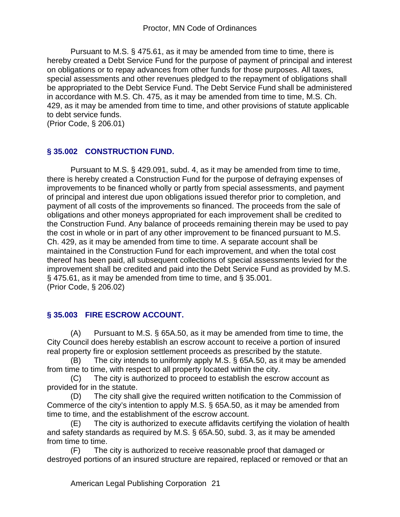Pursuant to M.S. § 475.61, as it may be amended from time to time, there is hereby created a Debt Service Fund for the purpose of payment of principal and interest on obligations or to repay advances from other funds for those purposes. All taxes, special assessments and other revenues pledged to the repayment of obligations shall be appropriated to the Debt Service Fund. The Debt Service Fund shall be administered in accordance with M.S. Ch. 475, as it may be amended from time to time, M.S. Ch. 429, as it may be amended from time to time, and other provisions of statute applicable to debt service funds.

(Prior Code, § 206.01)

## **§ 35.002 CONSTRUCTION FUND.**

Pursuant to M.S. § 429.091, subd. 4, as it may be amended from time to time, there is hereby created a Construction Fund for the purpose of defraying expenses of improvements to be financed wholly or partly from special assessments, and payment of principal and interest due upon obligations issued therefor prior to completion, and payment of all costs of the improvements so financed. The proceeds from the sale of obligations and other moneys appropriated for each improvement shall be credited to the Construction Fund. Any balance of proceeds remaining therein may be used to pay the cost in whole or in part of any other improvement to be financed pursuant to M.S. Ch. 429, as it may be amended from time to time. A separate account shall be maintained in the Construction Fund for each improvement, and when the total cost thereof has been paid, all subsequent collections of special assessments levied for the improvement shall be credited and paid into the Debt Service Fund as provided by M.S. § 475.61, as it may be amended from time to time, and § 35.001. (Prior Code, § 206.02)

## **§ 35.003 FIRE ESCROW ACCOUNT.**

(A) Pursuant to M.S. § 65A.50, as it may be amended from time to time, the City Council does hereby establish an escrow account to receive a portion of insured real property fire or explosion settlement proceeds as prescribed by the statute.

(B) The city intends to uniformly apply M.S. § 65A.50, as it may be amended from time to time, with respect to all property located within the city.

(C) The city is authorized to proceed to establish the escrow account as provided for in the statute.

(D) The city shall give the required written notification to the Commission of Commerce of the city's intention to apply M.S. § 65A.50, as it may be amended from time to time, and the establishment of the escrow account.

(E) The city is authorized to execute affidavits certifying the violation of health and safety standards as required by M.S. § 65A.50, subd. 3, as it may be amended from time to time.

(F) The city is authorized to receive reasonable proof that damaged or destroyed portions of an insured structure are repaired, replaced or removed or that an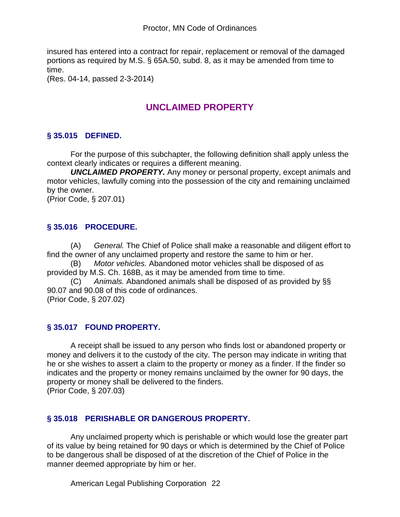insured has entered into a contract for repair, replacement or removal of the damaged portions as required by M.S. § 65A.50, subd. 8, as it may be amended from time to time.

(Res. 04-14, passed 2-3-2014)

# **UNCLAIMED PROPERTY**

## **§ 35.015 DEFINED.**

For the purpose of this subchapter, the following definition shall apply unless the context clearly indicates or requires a different meaning.

*UNCLAIMED PROPERTY.* Any money or personal property, except animals and motor vehicles, lawfully coming into the possession of the city and remaining unclaimed by the owner.

(Prior Code, § 207.01)

## **§ 35.016 PROCEDURE.**

(A) *General.* The Chief of Police shall make a reasonable and diligent effort to find the owner of any unclaimed property and restore the same to him or her.

(B) *Motor vehicles.* Abandoned motor vehicles shall be disposed of as provided by M.S. Ch. 168B, as it may be amended from time to time.

(C) *Animals.* Abandoned animals shall be disposed of as provided by §§ 90.07 and 90.08 of this code of ordinances. (Prior Code, § 207.02)

## **§ 35.017 FOUND PROPERTY.**

A receipt shall be issued to any person who finds lost or abandoned property or money and delivers it to the custody of the city. The person may indicate in writing that he or she wishes to assert a claim to the property or money as a finder. If the finder so indicates and the property or money remains unclaimed by the owner for 90 days, the property or money shall be delivered to the finders.

(Prior Code, § 207.03)

## **§ 35.018 PERISHABLE OR DANGEROUS PROPERTY.**

Any unclaimed property which is perishable or which would lose the greater part of its value by being retained for 90 days or which is determined by the Chief of Police to be dangerous shall be disposed of at the discretion of the Chief of Police in the manner deemed appropriate by him or her.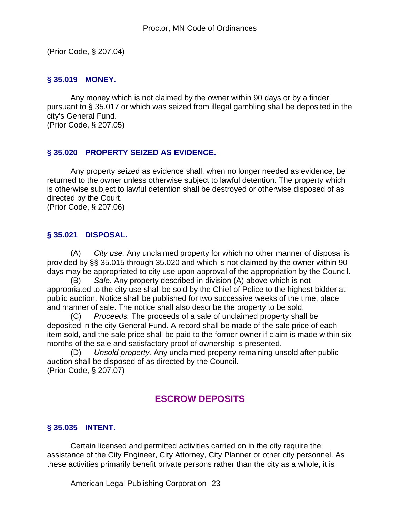(Prior Code, § 207.04)

#### **§ 35.019 MONEY.**

Any money which is not claimed by the owner within 90 days or by a finder pursuant to § 35.017 or which was seized from illegal gambling shall be deposited in the city's General Fund. (Prior Code, § 207.05)

#### **§ 35.020 PROPERTY SEIZED AS EVIDENCE.**

Any property seized as evidence shall, when no longer needed as evidence, be returned to the owner unless otherwise subject to lawful detention. The property which is otherwise subject to lawful detention shall be destroyed or otherwise disposed of as directed by the Court.

(Prior Code, § 207.06)

#### **§ 35.021 DISPOSAL.**

(A) *City use.* Any unclaimed property for which no other manner of disposal is provided by §§ 35.015 through 35.020 and which is not claimed by the owner within 90 days may be appropriated to city use upon approval of the appropriation by the Council.

(B) *Sale.* Any property described in division (A) above which is not appropriated to the city use shall be sold by the Chief of Police to the highest bidder at public auction. Notice shall be published for two successive weeks of the time, place and manner of sale. The notice shall also describe the property to be sold.

(C) *Proceeds.* The proceeds of a sale of unclaimed property shall be deposited in the city General Fund. A record shall be made of the sale price of each item sold, and the sale price shall be paid to the former owner if claim is made within six months of the sale and satisfactory proof of ownership is presented.

(D) *Unsold property.* Any unclaimed property remaining unsold after public auction shall be disposed of as directed by the Council. (Prior Code, § 207.07)

## **ESCROW DEPOSITS**

## **§ 35.035 INTENT.**

Certain licensed and permitted activities carried on in the city require the assistance of the City Engineer, City Attorney, City Planner or other city personnel. As these activities primarily benefit private persons rather than the city as a whole, it is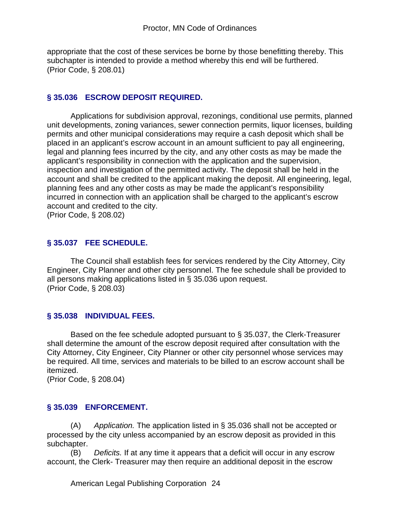appropriate that the cost of these services be borne by those benefitting thereby. This subchapter is intended to provide a method whereby this end will be furthered. (Prior Code, § 208.01)

### **§ 35.036 ESCROW DEPOSIT REQUIRED.**

Applications for subdivision approval, rezonings, conditional use permits, planned unit developments, zoning variances, sewer connection permits, liquor licenses, building permits and other municipal considerations may require a cash deposit which shall be placed in an applicant's escrow account in an amount sufficient to pay all engineering, legal and planning fees incurred by the city, and any other costs as may be made the applicant's responsibility in connection with the application and the supervision, inspection and investigation of the permitted activity. The deposit shall be held in the account and shall be credited to the applicant making the deposit. All engineering, legal, planning fees and any other costs as may be made the applicant's responsibility incurred in connection with an application shall be charged to the applicant's escrow account and credited to the city.

(Prior Code, § 208.02)

## **§ 35.037 FEE SCHEDULE.**

The Council shall establish fees for services rendered by the City Attorney, City Engineer, City Planner and other city personnel. The fee schedule shall be provided to all persons making applications listed in § 35.036 upon request. (Prior Code, § 208.03)

## **§ 35.038 INDIVIDUAL FEES.**

Based on the fee schedule adopted pursuant to § 35.037, the Clerk-Treasurer shall determine the amount of the escrow deposit required after consultation with the City Attorney, City Engineer, City Planner or other city personnel whose services may be required. All time, services and materials to be billed to an escrow account shall be itemized.

(Prior Code, § 208.04)

## **§ 35.039 ENFORCEMENT.**

(A) *Application.* The application listed in § 35.036 shall not be accepted or processed by the city unless accompanied by an escrow deposit as provided in this subchapter.

(B) *Deficits.* If at any time it appears that a deficit will occur in any escrow account, the Clerk- Treasurer may then require an additional deposit in the escrow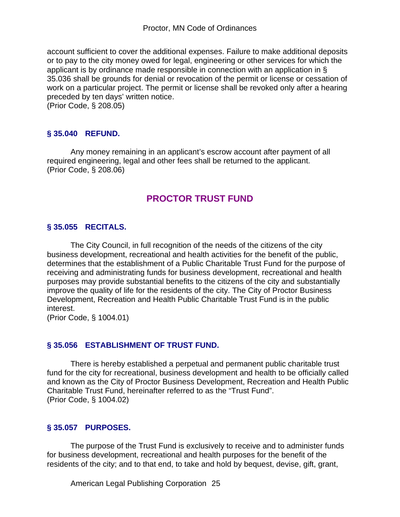account sufficient to cover the additional expenses. Failure to make additional deposits or to pay to the city money owed for legal, engineering or other services for which the applicant is by ordinance made responsible in connection with an application in § 35.036 shall be grounds for denial or revocation of the permit or license or cessation of work on a particular project. The permit or license shall be revoked only after a hearing preceded by ten days' written notice.

(Prior Code, § 208.05)

#### **§ 35.040 REFUND.**

Any money remaining in an applicant's escrow account after payment of all required engineering, legal and other fees shall be returned to the applicant. (Prior Code, § 208.06)

## **PROCTOR TRUST FUND**

#### **§ 35.055 RECITALS.**

The City Council, in full recognition of the needs of the citizens of the city business development, recreational and health activities for the benefit of the public, determines that the establishment of a Public Charitable Trust Fund for the purpose of receiving and administrating funds for business development, recreational and health purposes may provide substantial benefits to the citizens of the city and substantially improve the quality of life for the residents of the city. The City of Proctor Business Development, Recreation and Health Public Charitable Trust Fund is in the public interest.

(Prior Code, § 1004.01)

#### **§ 35.056 ESTABLISHMENT OF TRUST FUND.**

There is hereby established a perpetual and permanent public charitable trust fund for the city for recreational, business development and health to be officially called and known as the City of Proctor Business Development, Recreation and Health Public Charitable Trust Fund, hereinafter referred to as the "Trust Fund". (Prior Code, § 1004.02)

#### **§ 35.057 PURPOSES.**

The purpose of the Trust Fund is exclusively to receive and to administer funds for business development, recreational and health purposes for the benefit of the residents of the city; and to that end, to take and hold by bequest, devise, gift, grant,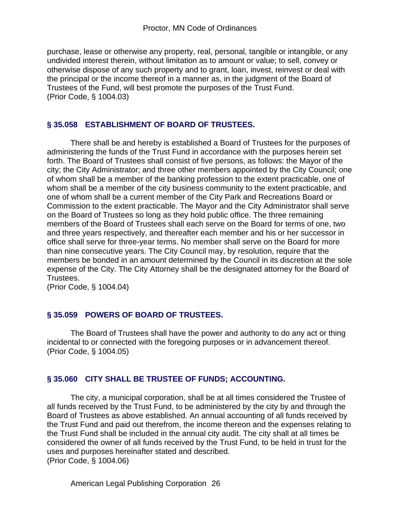purchase, lease or otherwise any property, real, personal, tangible or intangible, or any undivided interest therein, without limitation as to amount or value; to sell, convey or otherwise dispose of any such property and to grant, loan, invest, reinvest or deal with the principal or the income thereof in a manner as, in the judgment of the Board of Trustees of the Fund, will best promote the purposes of the Trust Fund. (Prior Code, § 1004.03)

## **§ 35.058 ESTABLISHMENT OF BOARD OF TRUSTEES.**

There shall be and hereby is established a Board of Trustees for the purposes of administering the funds of the Trust Fund in accordance with the purposes herein set forth. The Board of Trustees shall consist of five persons, as follows: the Mayor of the city; the City Administrator; and three other members appointed by the City Council; one of whom shall be a member of the banking profession to the extent practicable, one of whom shall be a member of the city business community to the extent practicable, and one of whom shall be a current member of the City Park and Recreations Board or Commission to the extent practicable. The Mayor and the City Administrator shall serve on the Board of Trustees so long as they hold public office. The three remaining members of the Board of Trustees shall each serve on the Board for terms of one, two and three years respectively, and thereafter each member and his or her successor in office shall serve for three-year terms. No member shall serve on the Board for more than nine consecutive years. The City Council may, by resolution, require that the members be bonded in an amount determined by the Council in its discretion at the sole expense of the City. The City Attorney shall be the designated attorney for the Board of Trustees.

(Prior Code, § 1004.04)

## **§ 35.059 POWERS OF BOARD OF TRUSTEES.**

The Board of Trustees shall have the power and authority to do any act or thing incidental to or connected with the foregoing purposes or in advancement thereof. (Prior Code, § 1004.05)

## **§ 35.060 CITY SHALL BE TRUSTEE OF FUNDS; ACCOUNTING.**

The city, a municipal corporation, shall be at all times considered the Trustee of all funds received by the Trust Fund, to be administered by the city by and through the Board of Trustees as above established. An annual accounting of all funds received by the Trust Fund and paid out therefrom, the income thereon and the expenses relating to the Trust Fund shall be included in the annual city audit. The city shall at all times be considered the owner of all funds received by the Trust Fund, to be held in trust for the uses and purposes hereinafter stated and described. (Prior Code, § 1004.06)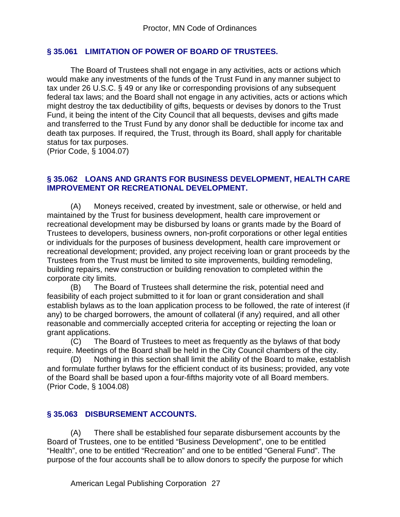#### **§ 35.061 LIMITATION OF POWER OF BOARD OF TRUSTEES.**

The Board of Trustees shall not engage in any activities, acts or actions which would make any investments of the funds of the Trust Fund in any manner subject to tax under 26 U.S.C. § 49 or any like or corresponding provisions of any subsequent federal tax laws; and the Board shall not engage in any activities, acts or actions which might destroy the tax deductibility of gifts, bequests or devises by donors to the Trust Fund, it being the intent of the City Council that all bequests, devises and gifts made and transferred to the Trust Fund by any donor shall be deductible for income tax and death tax purposes. If required, the Trust, through its Board, shall apply for charitable status for tax purposes.

(Prior Code, § 1004.07)

#### **§ 35.062 LOANS AND GRANTS FOR BUSINESS DEVELOPMENT, HEALTH CARE IMPROVEMENT OR RECREATIONAL DEVELOPMENT.**

(A) Moneys received, created by investment, sale or otherwise, or held and maintained by the Trust for business development, health care improvement or recreational development may be disbursed by loans or grants made by the Board of Trustees to developers, business owners, non-profit corporations or other legal entities or individuals for the purposes of business development, health care improvement or recreational development; provided, any project receiving loan or grant proceeds by the Trustees from the Trust must be limited to site improvements, building remodeling, building repairs, new construction or building renovation to completed within the corporate city limits.

(B) The Board of Trustees shall determine the risk, potential need and feasibility of each project submitted to it for loan or grant consideration and shall establish bylaws as to the loan application process to be followed, the rate of interest (if any) to be charged borrowers, the amount of collateral (if any) required, and all other reasonable and commercially accepted criteria for accepting or rejecting the loan or grant applications.

(C) The Board of Trustees to meet as frequently as the bylaws of that body require. Meetings of the Board shall be held in the City Council chambers of the city.

(D) Nothing in this section shall limit the ability of the Board to make, establish and formulate further bylaws for the efficient conduct of its business; provided, any vote of the Board shall be based upon a four-fifths majority vote of all Board members. (Prior Code, § 1004.08)

## **§ 35.063 DISBURSEMENT ACCOUNTS.**

(A) There shall be established four separate disbursement accounts by the Board of Trustees, one to be entitled "Business Development", one to be entitled "Health", one to be entitled "Recreation" and one to be entitled "General Fund". The purpose of the four accounts shall be to allow donors to specify the purpose for which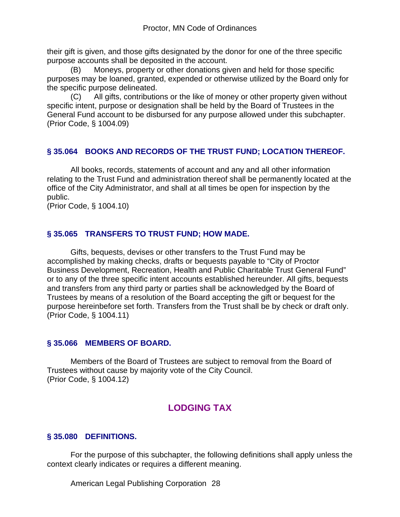their gift is given, and those gifts designated by the donor for one of the three specific purpose accounts shall be deposited in the account.

(B) Moneys, property or other donations given and held for those specific purposes may be loaned, granted, expended or otherwise utilized by the Board only for the specific purpose delineated.

(C) All gifts, contributions or the like of money or other property given without specific intent, purpose or designation shall be held by the Board of Trustees in the General Fund account to be disbursed for any purpose allowed under this subchapter. (Prior Code, § 1004.09)

#### **§ 35.064 BOOKS AND RECORDS OF THE TRUST FUND; LOCATION THEREOF.**

All books, records, statements of account and any and all other information relating to the Trust Fund and administration thereof shall be permanently located at the office of the City Administrator, and shall at all times be open for inspection by the public.

(Prior Code, § 1004.10)

## **§ 35.065 TRANSFERS TO TRUST FUND; HOW MADE.**

Gifts, bequests, devises or other transfers to the Trust Fund may be accomplished by making checks, drafts or bequests payable to "City of Proctor Business Development, Recreation, Health and Public Charitable Trust General Fund" or to any of the three specific intent accounts established hereunder. All gifts, bequests and transfers from any third party or parties shall be acknowledged by the Board of Trustees by means of a resolution of the Board accepting the gift or bequest for the purpose hereinbefore set forth. Transfers from the Trust shall be by check or draft only. (Prior Code, § 1004.11)

#### **§ 35.066 MEMBERS OF BOARD.**

Members of the Board of Trustees are subject to removal from the Board of Trustees without cause by majority vote of the City Council. (Prior Code, § 1004.12)

## **LODGING TAX**

#### **§ 35.080 DEFINITIONS.**

For the purpose of this subchapter, the following definitions shall apply unless the context clearly indicates or requires a different meaning.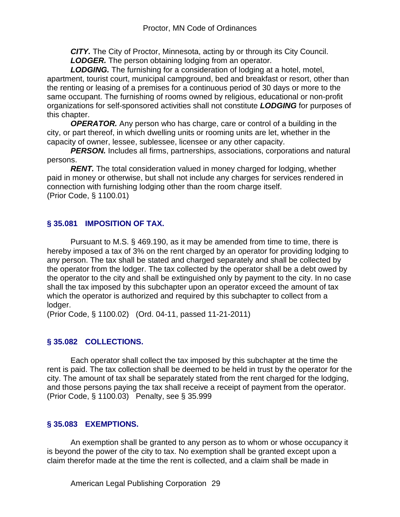*CITY.* The City of Proctor, Minnesota, acting by or through its City Council. *LODGER.* The person obtaining lodging from an operator.

*LODGING.* The furnishing for a consideration of lodging at a hotel, motel, apartment, tourist court, municipal campground, bed and breakfast or resort, other than the renting or leasing of a premises for a continuous period of 30 days or more to the same occupant. The furnishing of rooms owned by religious, educational or non-profit organizations for self-sponsored activities shall not constitute *LODGING* for purposes of this chapter.

*OPERATOR.* Any person who has charge, care or control of a building in the city, or part thereof, in which dwelling units or rooming units are let, whether in the capacity of owner, lessee, sublessee, licensee or any other capacity.

**PERSON.** Includes all firms, partnerships, associations, corporations and natural persons.

*RENT.* The total consideration valued in money charged for lodging, whether paid in money or otherwise, but shall not include any charges for services rendered in connection with furnishing lodging other than the room charge itself. (Prior Code, § 1100.01)

## **§ 35.081 IMPOSITION OF TAX.**

Pursuant to M.S. § 469.190, as it may be amended from time to time, there is hereby imposed a tax of 3% on the rent charged by an operator for providing lodging to any person. The tax shall be stated and charged separately and shall be collected by the operator from the lodger. The tax collected by the operator shall be a debt owed by the operator to the city and shall be extinguished only by payment to the city. In no case shall the tax imposed by this subchapter upon an operator exceed the amount of tax which the operator is authorized and required by this subchapter to collect from a lodger.

(Prior Code, § 1100.02) (Ord. 04-11, passed 11-21-2011)

## **§ 35.082 COLLECTIONS.**

Each operator shall collect the tax imposed by this subchapter at the time the rent is paid. The tax collection shall be deemed to be held in trust by the operator for the city. The amount of tax shall be separately stated from the rent charged for the lodging, and those persons paying the tax shall receive a receipt of payment from the operator. (Prior Code, § 1100.03) Penalty, see § 35.999

## **§ 35.083 EXEMPTIONS.**

An exemption shall be granted to any person as to whom or whose occupancy it is beyond the power of the city to tax. No exemption shall be granted except upon a claim therefor made at the time the rent is collected, and a claim shall be made in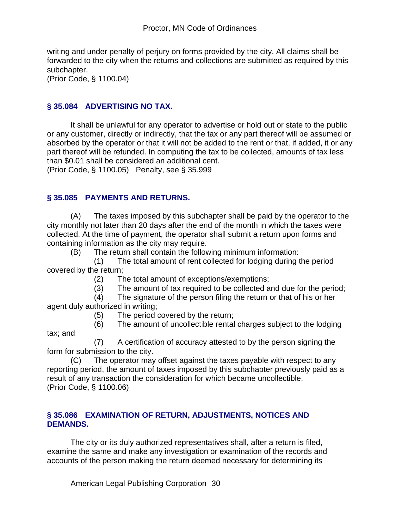writing and under penalty of perjury on forms provided by the city. All claims shall be forwarded to the city when the returns and collections are submitted as required by this subchapter.

(Prior Code, § 1100.04)

tax; and

#### **§ 35.084 ADVERTISING NO TAX.**

It shall be unlawful for any operator to advertise or hold out or state to the public or any customer, directly or indirectly, that the tax or any part thereof will be assumed or absorbed by the operator or that it will not be added to the rent or that, if added, it or any part thereof will be refunded. In computing the tax to be collected, amounts of tax less than \$0.01 shall be considered an additional cent.

(Prior Code, § 1100.05) Penalty, see § 35.999

#### **§ 35.085 PAYMENTS AND RETURNS.**

(A) The taxes imposed by this subchapter shall be paid by the operator to the city monthly not later than 20 days after the end of the month in which the taxes were collected. At the time of payment, the operator shall submit a return upon forms and containing information as the city may require.

(B) The return shall contain the following minimum information:

 (1) The total amount of rent collected for lodging during the period covered by the return;

- (2) The total amount of exceptions/exemptions;
- (3) The amount of tax required to be collected and due for the period;
- (4) The signature of the person filing the return or that of his or her agent duly authorized in writing;
	- (5) The period covered by the return;
	- (6) The amount of uncollectible rental charges subject to the lodging

 (7) A certification of accuracy attested to by the person signing the form for submission to the city.

(C) The operator may offset against the taxes payable with respect to any reporting period, the amount of taxes imposed by this subchapter previously paid as a result of any transaction the consideration for which became uncollectible. (Prior Code, § 1100.06)

#### **§ 35.086 EXAMINATION OF RETURN, ADJUSTMENTS, NOTICES AND DEMANDS.**

The city or its duly authorized representatives shall, after a return is filed, examine the same and make any investigation or examination of the records and accounts of the person making the return deemed necessary for determining its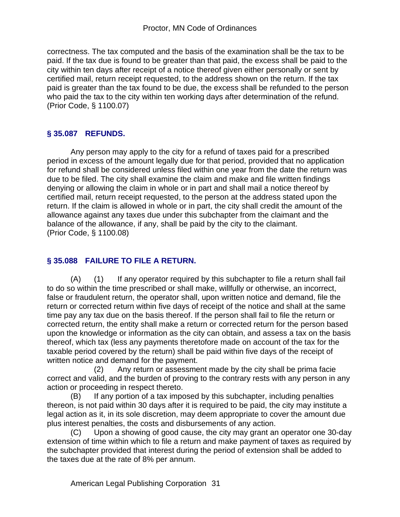correctness. The tax computed and the basis of the examination shall be the tax to be paid. If the tax due is found to be greater than that paid, the excess shall be paid to the city within ten days after receipt of a notice thereof given either personally or sent by certified mail, return receipt requested, to the address shown on the return. If the tax paid is greater than the tax found to be due, the excess shall be refunded to the person who paid the tax to the city within ten working days after determination of the refund. (Prior Code, § 1100.07)

## **§ 35.087 REFUNDS.**

Any person may apply to the city for a refund of taxes paid for a prescribed period in excess of the amount legally due for that period, provided that no application for refund shall be considered unless filed within one year from the date the return was due to be filed. The city shall examine the claim and make and file written findings denying or allowing the claim in whole or in part and shall mail a notice thereof by certified mail, return receipt requested, to the person at the address stated upon the return. If the claim is allowed in whole or in part, the city shall credit the amount of the allowance against any taxes due under this subchapter from the claimant and the balance of the allowance, if any, shall be paid by the city to the claimant. (Prior Code, § 1100.08)

## **§ 35.088 FAILURE TO FILE A RETURN.**

(A) (1) If any operator required by this subchapter to file a return shall fail to do so within the time prescribed or shall make, willfully or otherwise, an incorrect, false or fraudulent return, the operator shall, upon written notice and demand, file the return or corrected return within five days of receipt of the notice and shall at the same time pay any tax due on the basis thereof. If the person shall fail to file the return or corrected return, the entity shall make a return or corrected return for the person based upon the knowledge or information as the city can obtain, and assess a tax on the basis thereof, which tax (less any payments theretofore made on account of the tax for the taxable period covered by the return) shall be paid within five days of the receipt of written notice and demand for the payment.

 (2) Any return or assessment made by the city shall be prima facie correct and valid, and the burden of proving to the contrary rests with any person in any action or proceeding in respect thereto.

(B) If any portion of a tax imposed by this subchapter, including penalties thereon, is not paid within 30 days after it is required to be paid, the city may institute a legal action as it, in its sole discretion, may deem appropriate to cover the amount due plus interest penalties, the costs and disbursements of any action.

(C) Upon a showing of good cause, the city may grant an operator one 30-day extension of time within which to file a return and make payment of taxes as required by the subchapter provided that interest during the period of extension shall be added to the taxes due at the rate of 8% per annum.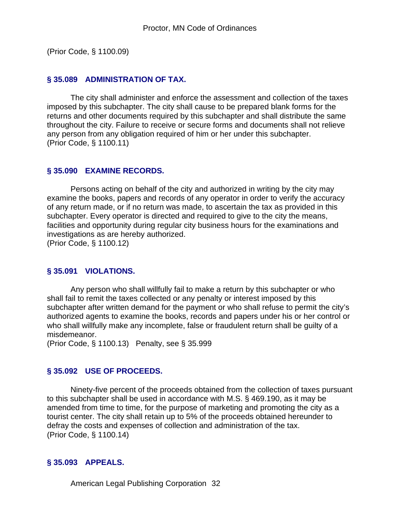(Prior Code, § 1100.09)

#### **§ 35.089 ADMINISTRATION OF TAX.**

The city shall administer and enforce the assessment and collection of the taxes imposed by this subchapter. The city shall cause to be prepared blank forms for the returns and other documents required by this subchapter and shall distribute the same throughout the city. Failure to receive or secure forms and documents shall not relieve any person from any obligation required of him or her under this subchapter. (Prior Code, § 1100.11)

#### **§ 35.090 EXAMINE RECORDS.**

Persons acting on behalf of the city and authorized in writing by the city may examine the books, papers and records of any operator in order to verify the accuracy of any return made, or if no return was made, to ascertain the tax as provided in this subchapter. Every operator is directed and required to give to the city the means, facilities and opportunity during regular city business hours for the examinations and investigations as are hereby authorized.

(Prior Code, § 1100.12)

#### **§ 35.091 VIOLATIONS.**

Any person who shall willfully fail to make a return by this subchapter or who shall fail to remit the taxes collected or any penalty or interest imposed by this subchapter after written demand for the payment or who shall refuse to permit the city's authorized agents to examine the books, records and papers under his or her control or who shall willfully make any incomplete, false or fraudulent return shall be guilty of a misdemeanor.

(Prior Code, § 1100.13) Penalty, see § 35.999

#### **§ 35.092 USE OF PROCEEDS.**

Ninety-five percent of the proceeds obtained from the collection of taxes pursuant to this subchapter shall be used in accordance with M.S. § 469.190, as it may be amended from time to time, for the purpose of marketing and promoting the city as a tourist center. The city shall retain up to 5% of the proceeds obtained hereunder to defray the costs and expenses of collection and administration of the tax. (Prior Code, § 1100.14)

#### **§ 35.093 APPEALS.**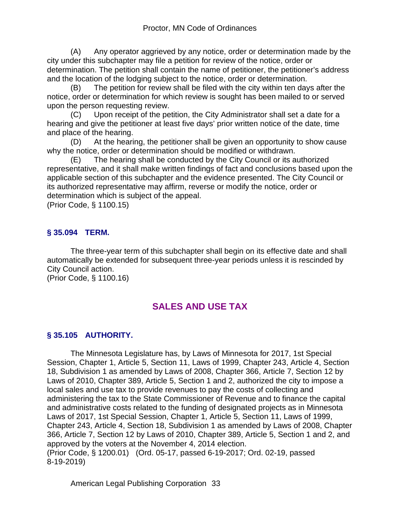(A) Any operator aggrieved by any notice, order or determination made by the city under this subchapter may file a petition for review of the notice, order or determination. The petition shall contain the name of petitioner, the petitioner's address and the location of the lodging subject to the notice, order or determination.

(B) The petition for review shall be filed with the city within ten days after the notice, order or determination for which review is sought has been mailed to or served upon the person requesting review.

(C) Upon receipt of the petition, the City Administrator shall set a date for a hearing and give the petitioner at least five days' prior written notice of the date, time and place of the hearing.

(D) At the hearing, the petitioner shall be given an opportunity to show cause why the notice, order or determination should be modified or withdrawn.

(E) The hearing shall be conducted by the City Council or its authorized representative, and it shall make written findings of fact and conclusions based upon the applicable section of this subchapter and the evidence presented. The City Council or its authorized representative may affirm, reverse or modify the notice, order or determination which is subject of the appeal.

(Prior Code, § 1100.15)

## **§ 35.094 TERM.**

The three-year term of this subchapter shall begin on its effective date and shall automatically be extended for subsequent three-year periods unless it is rescinded by City Council action.

(Prior Code, § 1100.16)

## **SALES AND USE TAX**

## **§ 35.105 AUTHORITY.**

The Minnesota Legislature has, by Laws of Minnesota for 2017, 1st Special Session, Chapter 1, Article 5, Section 11, Laws of 1999, Chapter 243, Article 4, Section 18, Subdivision 1 as amended by Laws of 2008, Chapter 366, Article 7, Section 12 by Laws of 2010, Chapter 389, Article 5, Section 1 and 2, authorized the city to impose a local sales and use tax to provide revenues to pay the costs of collecting and administering the tax to the State Commissioner of Revenue and to finance the capital and administrative costs related to the funding of designated projects as in Minnesota Laws of 2017, 1st Special Session, Chapter 1, Article 5, Section 11, Laws of 1999, Chapter 243, Article 4, Section 18, Subdivision 1 as amended by Laws of 2008, Chapter 366, Article 7, Section 12 by Laws of 2010, Chapter 389, Article 5, Section 1 and 2, and approved by the voters at the November 4, 2014 election. (Prior Code, § 1200.01) (Ord. 05-17, passed 6-19-2017; Ord. 02-19, passed 8-19-2019)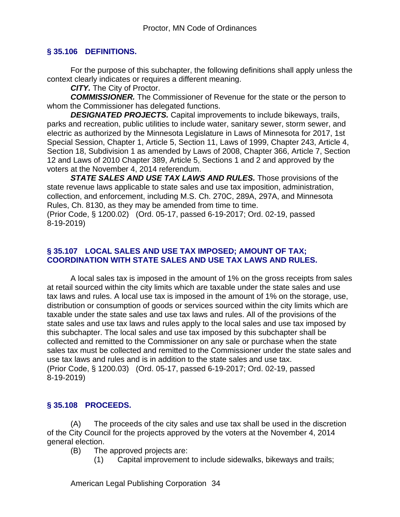### **§ 35.106 DEFINITIONS.**

For the purpose of this subchapter, the following definitions shall apply unless the context clearly indicates or requires a different meaning.

*CITY.* The City of Proctor.

*COMMISSIONER.* The Commissioner of Revenue for the state or the person to whom the Commissioner has delegated functions.

*DESIGNATED PROJECTS.* Capital improvements to include bikeways, trails, parks and recreation, public utilities to include water, sanitary sewer, storm sewer, and electric as authorized by the Minnesota Legislature in Laws of Minnesota for 2017, 1st Special Session, Chapter 1, Article 5, Section 11, Laws of 1999, Chapter 243, Article 4, Section 18, Subdivision 1 as amended by Laws of 2008, Chapter 366, Article 7, Section 12 and Laws of 2010 Chapter 389, Article 5, Sections 1 and 2 and approved by the voters at the November 4, 2014 referendum.

*STATE SALES AND USE TAX LAWS AND RULES.* Those provisions of the state revenue laws applicable to state sales and use tax imposition, administration, collection, and enforcement, including M.S. Ch. 270C, 289A, 297A, and Minnesota Rules, Ch. 8130, as they may be amended from time to time. (Prior Code, § 1200.02) (Ord. 05-17, passed 6-19-2017; Ord. 02-19, passed

8-19-2019)

#### **§ 35.107 LOCAL SALES AND USE TAX IMPOSED; AMOUNT OF TAX; COORDINATION WITH STATE SALES AND USE TAX LAWS AND RULES.**

A local sales tax is imposed in the amount of 1% on the gross receipts from sales at retail sourced within the city limits which are taxable under the state sales and use tax laws and rules. A local use tax is imposed in the amount of 1% on the storage, use, distribution or consumption of goods or services sourced within the city limits which are taxable under the state sales and use tax laws and rules. All of the provisions of the state sales and use tax laws and rules apply to the local sales and use tax imposed by this subchapter. The local sales and use tax imposed by this subchapter shall be collected and remitted to the Commissioner on any sale or purchase when the state sales tax must be collected and remitted to the Commissioner under the state sales and use tax laws and rules and is in addition to the state sales and use tax. (Prior Code, § 1200.03) (Ord. 05-17, passed 6-19-2017; Ord. 02-19, passed 8-19-2019)

## **§ 35.108 PROCEEDS.**

(A) The proceeds of the city sales and use tax shall be used in the discretion of the City Council for the projects approved by the voters at the November 4, 2014 general election.

(B) The approved projects are:

(1) Capital improvement to include sidewalks, bikeways and trails;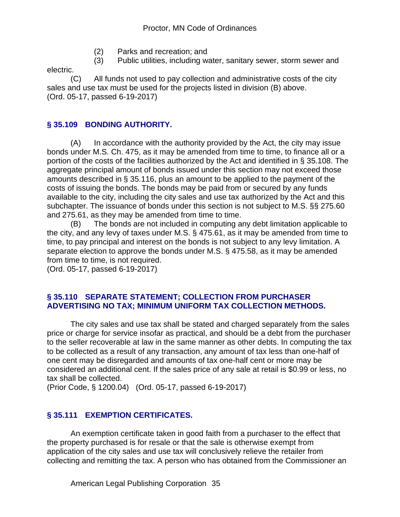- (2) Parks and recreation; and
- (3) Public utilities, including water, sanitary sewer, storm sewer and

electric.

(C) All funds not used to pay collection and administrative costs of the city sales and use tax must be used for the projects listed in division (B) above. (Ord. 05-17, passed 6-19-2017)

## **§ 35.109 BONDING AUTHORITY.**

(A) In accordance with the authority provided by the Act, the city may issue bonds under M.S. Ch. 475, as it may be amended from time to time, to finance all or a portion of the costs of the facilities authorized by the Act and identified in § 35.108. The aggregate principal amount of bonds issued under this section may not exceed those amounts described in § 35.116, plus an amount to be applied to the payment of the costs of issuing the bonds. The bonds may be paid from or secured by any funds available to the city, including the city sales and use tax authorized by the Act and this subchapter. The issuance of bonds under this section is not subject to M.S. §§ 275.60 and 275.61, as they may be amended from time to time.

(B) The bonds are not included in computing any debt limitation applicable to the city, and any levy of taxes under M.S. § 475.61, as it may be amended from time to time, to pay principal and interest on the bonds is not subject to any levy limitation. A separate election to approve the bonds under M.S. § 475.58, as it may be amended from time to time, is not required.

(Ord. 05-17, passed 6-19-2017)

#### **§ 35.110 SEPARATE STATEMENT; COLLECTION FROM PURCHASER ADVERTISING NO TAX; MINIMUM UNIFORM TAX COLLECTION METHODS.**

The city sales and use tax shall be stated and charged separately from the sales price or charge for service insofar as practical, and should be a debt from the purchaser to the seller recoverable at law in the same manner as other debts. In computing the tax to be collected as a result of any transaction, any amount of tax less than one-half of one cent may be disregarded and amounts of tax one-half cent or more may be considered an additional cent. If the sales price of any sale at retail is \$0.99 or less, no tax shall be collected.

(Prior Code, § 1200.04) (Ord. 05-17, passed 6-19-2017)

## **§ 35.111 EXEMPTION CERTIFICATES.**

An exemption certificate taken in good faith from a purchaser to the effect that the property purchased is for resale or that the sale is otherwise exempt from application of the city sales and use tax will conclusively relieve the retailer from collecting and remitting the tax. A person who has obtained from the Commissioner an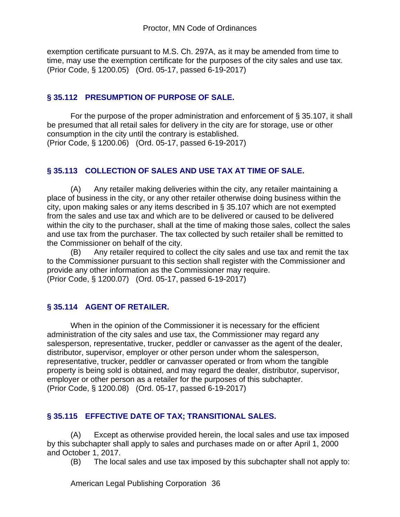exemption certificate pursuant to M.S. Ch. 297A, as it may be amended from time to time, may use the exemption certificate for the purposes of the city sales and use tax. (Prior Code, § 1200.05) (Ord. 05-17, passed 6-19-2017)

## **§ 35.112 PRESUMPTION OF PURPOSE OF SALE.**

For the purpose of the proper administration and enforcement of § 35.107, it shall be presumed that all retail sales for delivery in the city are for storage, use or other consumption in the city until the contrary is established. (Prior Code, § 1200.06) (Ord. 05-17, passed 6-19-2017)

## **§ 35.113 COLLECTION OF SALES AND USE TAX AT TIME OF SALE.**

(A) Any retailer making deliveries within the city, any retailer maintaining a place of business in the city, or any other retailer otherwise doing business within the city, upon making sales or any items described in § 35.107 which are not exempted from the sales and use tax and which are to be delivered or caused to be delivered within the city to the purchaser, shall at the time of making those sales, collect the sales and use tax from the purchaser. The tax collected by such retailer shall be remitted to the Commissioner on behalf of the city.

(B) Any retailer required to collect the city sales and use tax and remit the tax to the Commissioner pursuant to this section shall register with the Commissioner and provide any other information as the Commissioner may require. (Prior Code, § 1200.07) (Ord. 05-17, passed 6-19-2017)

## **§ 35.114 AGENT OF RETAILER.**

When in the opinion of the Commissioner it is necessary for the efficient administration of the city sales and use tax, the Commissioner may regard any salesperson, representative, trucker, peddler or canvasser as the agent of the dealer, distributor, supervisor, employer or other person under whom the salesperson, representative, trucker, peddler or canvasser operated or from whom the tangible property is being sold is obtained, and may regard the dealer, distributor, supervisor, employer or other person as a retailer for the purposes of this subchapter. (Prior Code, § 1200.08) (Ord. 05-17, passed 6-19-2017)

## **§ 35.115 EFFECTIVE DATE OF TAX; TRANSITIONAL SALES.**

(A) Except as otherwise provided herein, the local sales and use tax imposed by this subchapter shall apply to sales and purchases made on or after April 1, 2000 and October 1, 2017.

(B) The local sales and use tax imposed by this subchapter shall not apply to: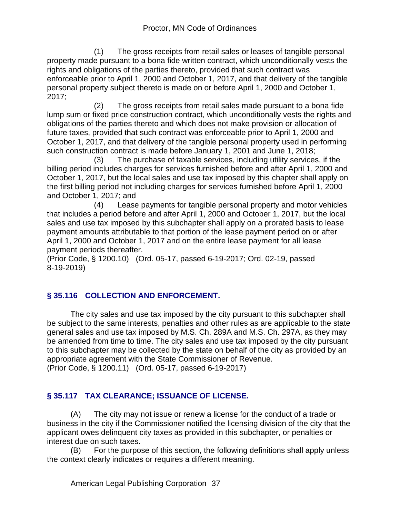(1) The gross receipts from retail sales or leases of tangible personal property made pursuant to a bona fide written contract, which unconditionally vests the rights and obligations of the parties thereto, provided that such contract was enforceable prior to April 1, 2000 and October 1, 2017, and that delivery of the tangible personal property subject thereto is made on or before April 1, 2000 and October 1, 2017;

 (2) The gross receipts from retail sales made pursuant to a bona fide lump sum or fixed price construction contract, which unconditionally vests the rights and obligations of the parties thereto and which does not make provision or allocation of future taxes, provided that such contract was enforceable prior to April 1, 2000 and October 1, 2017, and that delivery of the tangible personal property used in performing such construction contract is made before January 1, 2001 and June 1, 2018;

 (3) The purchase of taxable services, including utility services, if the billing period includes charges for services furnished before and after April 1, 2000 and October 1, 2017, but the local sales and use tax imposed by this chapter shall apply on the first billing period not including charges for services furnished before April 1, 2000 and October 1, 2017; and

 (4) Lease payments for tangible personal property and motor vehicles that includes a period before and after April 1, 2000 and October 1, 2017, but the local sales and use tax imposed by this subchapter shall apply on a prorated basis to lease payment amounts attributable to that portion of the lease payment period on or after April 1, 2000 and October 1, 2017 and on the entire lease payment for all lease payment periods thereafter.

(Prior Code, § 1200.10) (Ord. 05-17, passed 6-19-2017; Ord. 02-19, passed 8-19-2019)

## **§ 35.116 COLLECTION AND ENFORCEMENT.**

The city sales and use tax imposed by the city pursuant to this subchapter shall be subject to the same interests, penalties and other rules as are applicable to the state general sales and use tax imposed by M.S. Ch. 289A and M.S. Ch. 297A, as they may be amended from time to time. The city sales and use tax imposed by the city pursuant to this subchapter may be collected by the state on behalf of the city as provided by an appropriate agreement with the State Commissioner of Revenue. (Prior Code, § 1200.11) (Ord. 05-17, passed 6-19-2017)

## **§ 35.117 TAX CLEARANCE; ISSUANCE OF LICENSE.**

(A) The city may not issue or renew a license for the conduct of a trade or business in the city if the Commissioner notified the licensing division of the city that the applicant owes delinquent city taxes as provided in this subchapter, or penalties or interest due on such taxes.

(B) For the purpose of this section, the following definitions shall apply unless the context clearly indicates or requires a different meaning.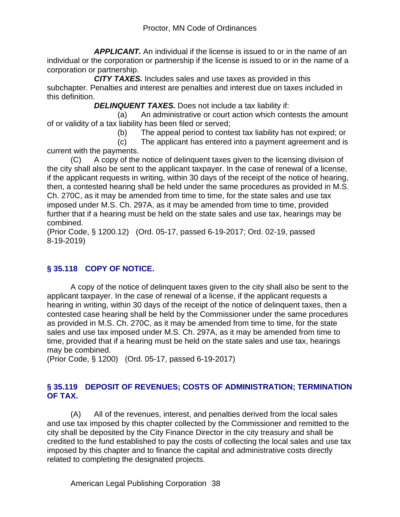*APPLICANT.* An individual if the license is issued to or in the name of an individual or the corporation or partnership if the license is issued to or in the name of a corporation or partnership.

 *CITY TAXES.* Includes sales and use taxes as provided in this subchapter. Penalties and interest are penalties and interest due on taxes included in this definition.

**DELINQUENT TAXES.** Does not include a tax liability if:

 (a) An administrative or court action which contests the amount of or validity of a tax liability has been filed or served;

(b) The appeal period to contest tax liability has not expired; or

 (c) The applicant has entered into a payment agreement and is current with the payments.

(C) A copy of the notice of delinquent taxes given to the licensing division of the city shall also be sent to the applicant taxpayer. In the case of renewal of a license, if the applicant requests in writing, within 30 days of the receipt of the notice of hearing, then, a contested hearing shall be held under the same procedures as provided in M.S. Ch. 270C, as it may be amended from time to time, for the state sales and use tax imposed under M.S. Ch. 297A, as it may be amended from time to time, provided further that if a hearing must be held on the state sales and use tax, hearings may be combined.

(Prior Code, § 1200.12) (Ord. 05-17, passed 6-19-2017; Ord. 02-19, passed 8-19-2019)

## **§ 35.118 COPY OF NOTICE.**

A copy of the notice of delinquent taxes given to the city shall also be sent to the applicant taxpayer. In the case of renewal of a license, if the applicant requests a hearing in writing, within 30 days of the receipt of the notice of delinquent taxes, then a contested case hearing shall be held by the Commissioner under the same procedures as provided in M.S. Ch. 270C, as it may be amended from time to time, for the state sales and use tax imposed under M.S. Ch. 297A, as it may be amended from time to time, provided that if a hearing must be held on the state sales and use tax, hearings may be combined.

(Prior Code, § 1200) (Ord. 05-17, passed 6-19-2017)

## **§ 35.119 DEPOSIT OF REVENUES; COSTS OF ADMINISTRATION; TERMINATION OF TAX.**

(A) All of the revenues, interest, and penalties derived from the local sales and use tax imposed by this chapter collected by the Commissioner and remitted to the city shall be deposited by the City Finance Director in the city treasury and shall be credited to the fund established to pay the costs of collecting the local sales and use tax imposed by this chapter and to finance the capital and administrative costs directly related to completing the designated projects.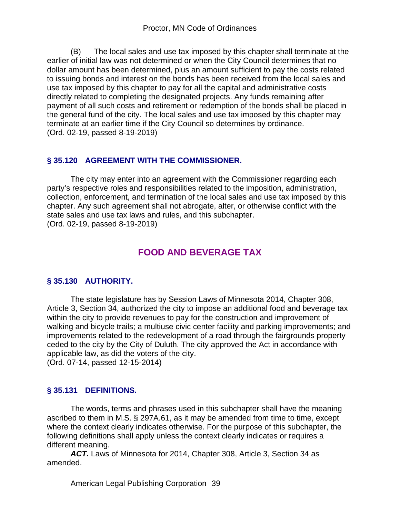(B) The local sales and use tax imposed by this chapter shall terminate at the earlier of initial law was not determined or when the City Council determines that no dollar amount has been determined, plus an amount sufficient to pay the costs related to issuing bonds and interest on the bonds has been received from the local sales and use tax imposed by this chapter to pay for all the capital and administrative costs directly related to completing the designated projects. Any funds remaining after payment of all such costs and retirement or redemption of the bonds shall be placed in the general fund of the city. The local sales and use tax imposed by this chapter may terminate at an earlier time if the City Council so determines by ordinance. (Ord. 02-19, passed 8-19-2019)

## **§ 35.120 AGREEMENT WITH THE COMMISSIONER.**

The city may enter into an agreement with the Commissioner regarding each party's respective roles and responsibilities related to the imposition, administration, collection, enforcement, and termination of the local sales and use tax imposed by this chapter. Any such agreement shall not abrogate, alter, or otherwise conflict with the state sales and use tax laws and rules, and this subchapter. (Ord. 02-19, passed 8-19-2019)

## **FOOD AND BEVERAGE TAX**

## **§ 35.130 AUTHORITY.**

The state legislature has by Session Laws of Minnesota 2014, Chapter 308, Article 3, Section 34, authorized the city to impose an additional food and beverage tax within the city to provide revenues to pay for the construction and improvement of walking and bicycle trails; a multiuse civic center facility and parking improvements; and improvements related to the redevelopment of a road through the fairgrounds property ceded to the city by the City of Duluth. The city approved the Act in accordance with applicable law, as did the voters of the city. (Ord. 07-14, passed 12-15-2014)

## **§ 35.131 DEFINITIONS.**

The words, terms and phrases used in this subchapter shall have the meaning ascribed to them in M.S. § 297A.61, as it may be amended from time to time, except where the context clearly indicates otherwise. For the purpose of this subchapter, the following definitions shall apply unless the context clearly indicates or requires a different meaning.

*ACT.* Laws of Minnesota for 2014, Chapter 308, Article 3, Section 34 as amended.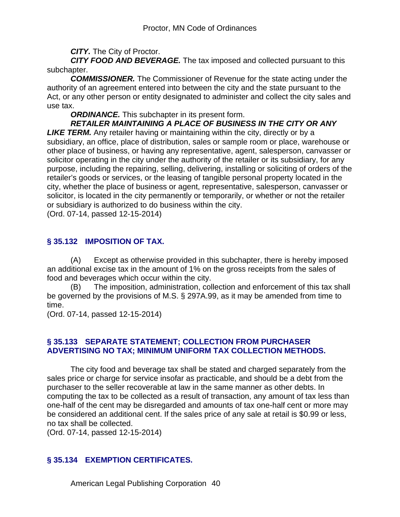*CITY.* The City of Proctor.

*CITY FOOD AND BEVERAGE.* The tax imposed and collected pursuant to this subchapter.

*COMMISSIONER.* The Commissioner of Revenue for the state acting under the authority of an agreement entered into between the city and the state pursuant to the Act, or any other person or entity designated to administer and collect the city sales and use tax.

*ORDINANCE.* This subchapter in its present form.

*RETAILER MAINTAINING A PLACE OF BUSINESS IN THE CITY OR ANY* 

**LIKE TERM.** Any retailer having or maintaining within the city, directly or by a subsidiary, an office, place of distribution, sales or sample room or place, warehouse or other place of business, or having any representative, agent, salesperson, canvasser or solicitor operating in the city under the authority of the retailer or its subsidiary, for any purpose, including the repairing, selling, delivering, installing or soliciting of orders of the retailer's goods or services, or the leasing of tangible personal property located in the city, whether the place of business or agent, representative, salesperson, canvasser or solicitor, is located in the city permanently or temporarily, or whether or not the retailer or subsidiary is authorized to do business within the city.

(Ord. 07-14, passed 12-15-2014)

## **§ 35.132 IMPOSITION OF TAX.**

(A) Except as otherwise provided in this subchapter, there is hereby imposed an additional excise tax in the amount of 1% on the gross receipts from the sales of food and beverages which occur within the city.

(B) The imposition, administration, collection and enforcement of this tax shall be governed by the provisions of M.S. § 297A.99, as it may be amended from time to time.

(Ord. 07-14, passed 12-15-2014)

## **§ 35.133 SEPARATE STATEMENT; COLLECTION FROM PURCHASER ADVERTISING NO TAX; MINIMUM UNIFORM TAX COLLECTION METHODS.**

The city food and beverage tax shall be stated and charged separately from the sales price or charge for service insofar as practicable, and should be a debt from the purchaser to the seller recoverable at law in the same manner as other debts. In computing the tax to be collected as a result of transaction, any amount of tax less than one-half of the cent may be disregarded and amounts of tax one-half cent or more may be considered an additional cent. If the sales price of any sale at retail is \$0.99 or less, no tax shall be collected.

(Ord. 07-14, passed 12-15-2014)

## **§ 35.134 EXEMPTION CERTIFICATES.**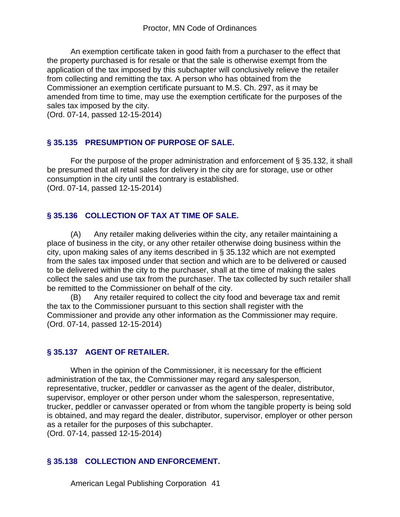An exemption certificate taken in good faith from a purchaser to the effect that the property purchased is for resale or that the sale is otherwise exempt from the application of the tax imposed by this subchapter will conclusively relieve the retailer from collecting and remitting the tax. A person who has obtained from the Commissioner an exemption certificate pursuant to M.S. Ch. 297, as it may be amended from time to time, may use the exemption certificate for the purposes of the sales tax imposed by the city.

(Ord. 07-14, passed 12-15-2014)

#### **§ 35.135 PRESUMPTION OF PURPOSE OF SALE.**

For the purpose of the proper administration and enforcement of § 35.132, it shall be presumed that all retail sales for delivery in the city are for storage, use or other consumption in the city until the contrary is established. (Ord. 07-14, passed 12-15-2014)

## **§ 35.136 COLLECTION OF TAX AT TIME OF SALE.**

(A) Any retailer making deliveries within the city, any retailer maintaining a place of business in the city, or any other retailer otherwise doing business within the city, upon making sales of any items described in § 35.132 which are not exempted from the sales tax imposed under that section and which are to be delivered or caused to be delivered within the city to the purchaser, shall at the time of making the sales collect the sales and use tax from the purchaser. The tax collected by such retailer shall be remitted to the Commissioner on behalf of the city.

(B) Any retailer required to collect the city food and beverage tax and remit the tax to the Commissioner pursuant to this section shall register with the Commissioner and provide any other information as the Commissioner may require. (Ord. 07-14, passed 12-15-2014)

## **§ 35.137 AGENT OF RETAILER.**

When in the opinion of the Commissioner, it is necessary for the efficient administration of the tax, the Commissioner may regard any salesperson, representative, trucker, peddler or canvasser as the agent of the dealer, distributor, supervisor, employer or other person under whom the salesperson, representative, trucker, peddler or canvasser operated or from whom the tangible property is being sold is obtained, and may regard the dealer, distributor, supervisor, employer or other person as a retailer for the purposes of this subchapter.

(Ord. 07-14, passed 12-15-2014)

## **§ 35.138 COLLECTION AND ENFORCEMENT.**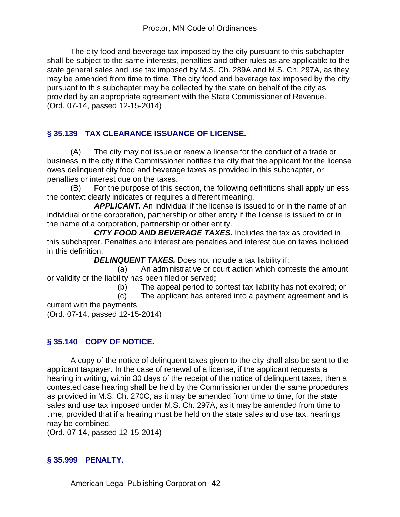The city food and beverage tax imposed by the city pursuant to this subchapter shall be subject to the same interests, penalties and other rules as are applicable to the state general sales and use tax imposed by M.S. Ch. 289A and M.S. Ch. 297A, as they may be amended from time to time. The city food and beverage tax imposed by the city pursuant to this subchapter may be collected by the state on behalf of the city as provided by an appropriate agreement with the State Commissioner of Revenue. (Ord. 07-14, passed 12-15-2014)

## **§ 35.139 TAX CLEARANCE ISSUANCE OF LICENSE.**

(A) The city may not issue or renew a license for the conduct of a trade or business in the city if the Commissioner notifies the city that the applicant for the license owes delinquent city food and beverage taxes as provided in this subchapter, or penalties or interest due on the taxes.

(B) For the purpose of this section, the following definitions shall apply unless the context clearly indicates or requires a different meaning.

 *APPLICANT.* An individual if the license is issued to or in the name of an individual or the corporation, partnership or other entity if the license is issued to or in the name of a corporation, partnership or other entity.

 *CITY FOOD AND BEVERAGE TAXES.* Includes the tax as provided in this subchapter. Penalties and interest are penalties and interest due on taxes included in this definition.

*DELINQUENT TAXES.* Does not include a tax liability if:

 (a) An administrative or court action which contests the amount or validity or the liability has been filed or served;

(b) The appeal period to contest tax liability has not expired; or

(c) The applicant has entered into a payment agreement and is

current with the payments. (Ord. 07-14, passed 12-15-2014)

## **§ 35.140 COPY OF NOTICE.**

A copy of the notice of delinquent taxes given to the city shall also be sent to the applicant taxpayer. In the case of renewal of a license, if the applicant requests a hearing in writing, within 30 days of the receipt of the notice of delinquent taxes, then a contested case hearing shall be held by the Commissioner under the same procedures as provided in M.S. Ch. 270C, as it may be amended from time to time, for the state sales and use tax imposed under M.S. Ch. 297A, as it may be amended from time to time, provided that if a hearing must be held on the state sales and use tax, hearings may be combined.

(Ord. 07-14, passed 12-15-2014)

## **§ 35.999 PENALTY.**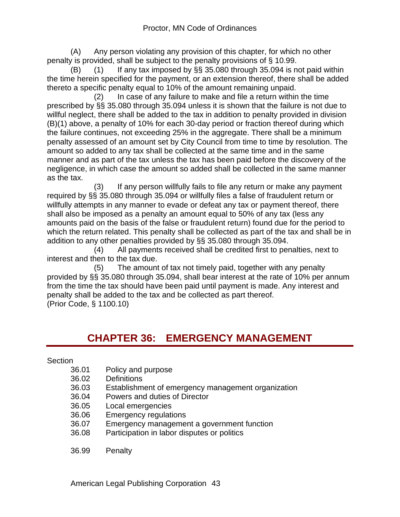(A) Any person violating any provision of this chapter, for which no other penalty is provided, shall be subject to the penalty provisions of § 10.99.

(B) (1) If any tax imposed by  $\S$ § 35.080 through 35.094 is not paid within the time herein specified for the payment, or an extension thereof, there shall be added thereto a specific penalty equal to 10% of the amount remaining unpaid.

 (2) In case of any failure to make and file a return within the time prescribed by §§ 35.080 through 35.094 unless it is shown that the failure is not due to willful neglect, there shall be added to the tax in addition to penalty provided in division (B)(1) above, a penalty of 10% for each 30-day period or fraction thereof during which the failure continues, not exceeding 25% in the aggregate. There shall be a minimum penalty assessed of an amount set by City Council from time to time by resolution. The amount so added to any tax shall be collected at the same time and in the same manner and as part of the tax unless the tax has been paid before the discovery of the negligence, in which case the amount so added shall be collected in the same manner as the tax.

 (3) If any person willfully fails to file any return or make any payment required by §§ 35.080 through 35.094 or willfully files a false of fraudulent return or willfully attempts in any manner to evade or defeat any tax or payment thereof, there shall also be imposed as a penalty an amount equal to 50% of any tax (less any amounts paid on the basis of the false or fraudulent return) found due for the period to which the return related. This penalty shall be collected as part of the tax and shall be in addition to any other penalties provided by §§ 35.080 through 35.094.

 (4) All payments received shall be credited first to penalties, next to interest and then to the tax due.

 (5) The amount of tax not timely paid, together with any penalty provided by §§ 35.080 through 35.094, shall bear interest at the rate of 10% per annum from the time the tax should have been paid until payment is made. Any interest and penalty shall be added to the tax and be collected as part thereof. (Prior Code, § 1100.10)

# **CHAPTER 36: EMERGENCY MANAGEMENT**

## **Section**

- 36.01 Policy and purpose
- 36.02 Definitions<br>36.03 Establishm
- Establishment of emergency management organization
- 36.04 Powers and duties of Director
- 36.05 Local emergencies
- 36.06 Emergency regulations
- 36.07 Emergency management a government function
- 36.08 Participation in labor disputes or politics
- 36.99 Penalty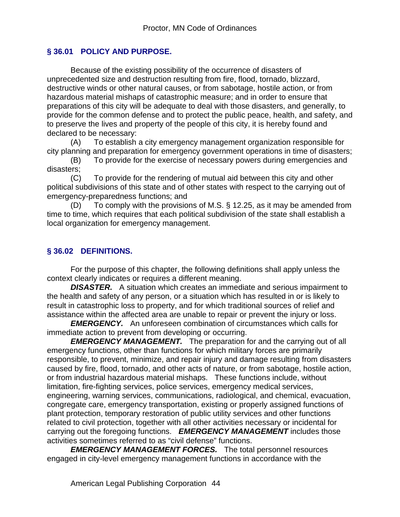## **§ 36.01 POLICY AND PURPOSE.**

Because of the existing possibility of the occurrence of disasters of unprecedented size and destruction resulting from fire, flood, tornado, blizzard, destructive winds or other natural causes, or from sabotage, hostile action, or from hazardous material mishaps of catastrophic measure; and in order to ensure that preparations of this city will be adequate to deal with those disasters, and generally, to provide for the common defense and to protect the public peace, health, and safety, and to preserve the lives and property of the people of this city, it is hereby found and declared to be necessary:

(A) To establish a city emergency management organization responsible for city planning and preparation for emergency government operations in time of disasters;

(B) To provide for the exercise of necessary powers during emergencies and disasters;

(C) To provide for the rendering of mutual aid between this city and other political subdivisions of this state and of other states with respect to the carrying out of emergency-preparedness functions; and

(D) To comply with the provisions of M.S. § 12.25, as it may be amended from time to time, which requires that each political subdivision of the state shall establish a local organization for emergency management.

## **§ 36.02 DEFINITIONS.**

For the purpose of this chapter, the following definitions shall apply unless the context clearly indicates or requires a different meaning.

**DISASTER.** A situation which creates an immediate and serious impairment to the health and safety of any person, or a situation which has resulted in or is likely to result in catastrophic loss to property, and for which traditional sources of relief and assistance within the affected area are unable to repair or prevent the injury or loss.

*EMERGENCY.* An unforeseen combination of circumstances which calls for immediate action to prevent from developing or occurring.

**EMERGENCY MANAGEMENT.** The preparation for and the carrying out of all emergency functions, other than functions for which military forces are primarily responsible, to prevent, minimize, and repair injury and damage resulting from disasters caused by fire, flood, tornado, and other acts of nature, or from sabotage, hostile action, or from industrial hazardous material mishaps. These functions include, without limitation, fire-fighting services, police services, emergency medical services, engineering, warning services, communications, radiological, and chemical, evacuation, congregate care, emergency transportation, existing or properly assigned functions of plant protection, temporary restoration of public utility services and other functions related to civil protection, together with all other activities necessary or incidental for carrying out the foregoing functions. *EMERGENCY MANAGEMENT* includes those activities sometimes referred to as "civil defense" functions.

*EMERGENCY MANAGEMENT FORCES.* The total personnel resources engaged in city-level emergency management functions in accordance with the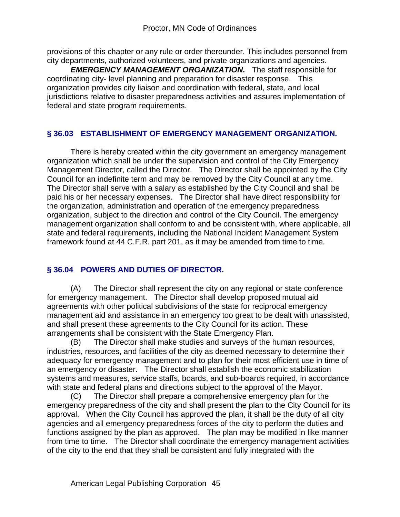provisions of this chapter or any rule or order thereunder. This includes personnel from city departments, authorized volunteers, and private organizations and agencies.

*EMERGENCY MANAGEMENT ORGANIZATION.* The staff responsible for coordinating city- level planning and preparation for disaster response. This organization provides city liaison and coordination with federal, state, and local jurisdictions relative to disaster preparedness activities and assures implementation of federal and state program requirements.

## **§ 36.03 ESTABLISHMENT OF EMERGENCY MANAGEMENT ORGANIZATION.**

There is hereby created within the city government an emergency management organization which shall be under the supervision and control of the City Emergency Management Director, called the Director. The Director shall be appointed by the City Council for an indefinite term and may be removed by the City Council at any time. The Director shall serve with a salary as established by the City Council and shall be paid his or her necessary expenses. The Director shall have direct responsibility for the organization, administration and operation of the emergency preparedness organization, subject to the direction and control of the City Council. The emergency management organization shall conform to and be consistent with, where applicable, all state and federal requirements, including the National Incident Management System framework found at 44 C.F.R. part 201, as it may be amended from time to time.

## **§ 36.04 POWERS AND DUTIES OF DIRECTOR.**

(A) The Director shall represent the city on any regional or state conference for emergency management. The Director shall develop proposed mutual aid agreements with other political subdivisions of the state for reciprocal emergency management aid and assistance in an emergency too great to be dealt with unassisted, and shall present these agreements to the City Council for its action. These arrangements shall be consistent with the State Emergency Plan.

(B) The Director shall make studies and surveys of the human resources, industries, resources, and facilities of the city as deemed necessary to determine their adequacy for emergency management and to plan for their most efficient use in time of an emergency or disaster. The Director shall establish the economic stabilization systems and measures, service staffs, boards, and sub-boards required, in accordance with state and federal plans and directions subject to the approval of the Mayor.

(C) The Director shall prepare a comprehensive emergency plan for the emergency preparedness of the city and shall present the plan to the City Council for its approval. When the City Council has approved the plan, it shall be the duty of all city agencies and all emergency preparedness forces of the city to perform the duties and functions assigned by the plan as approved. The plan may be modified in like manner from time to time. The Director shall coordinate the emergency management activities of the city to the end that they shall be consistent and fully integrated with the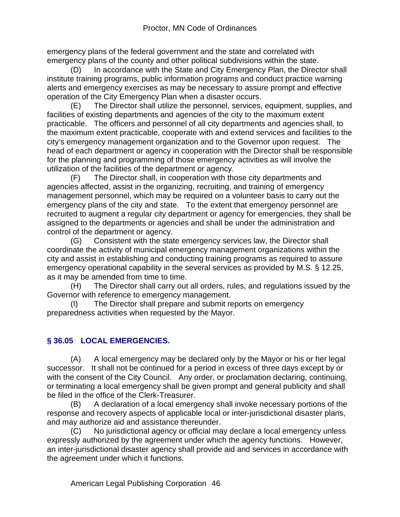emergency plans of the federal government and the state and correlated with emergency plans of the county and other political subdivisions within the state.

(D) In accordance with the State and City Emergency Plan, the Director shall institute training programs, public information programs and conduct practice warning alerts and emergency exercises as may be necessary to assure prompt and effective operation of the City Emergency Plan when a disaster occurs.

(E) The Director shall utilize the personnel, services, equipment, supplies, and facilities of existing departments and agencies of the city to the maximum extent practicable. The officers and personnel of all city departments and agencies shall, to the maximum extent practicable, cooperate with and extend services and facilities to the city's emergency management organization and to the Governor upon request. The head of each department or agency in cooperation with the Director shall be responsible for the planning and programming of those emergency activities as will involve the utilization of the facilities of the department or agency.

(F) The Director shall, in cooperation with those city departments and agencies affected, assist in the organizing, recruiting, and training of emergency management personnel, which may be required on a volunteer basis to carry out the emergency plans of the city and state. To the extent that emergency personnel are recruited to augment a regular city department or agency for emergencies, they shall be assigned to the departments or agencies and shall be under the administration and control of the department or agency.

(G) Consistent with the state emergency services law, the Director shall coordinate the activity of municipal emergency management organizations within the city and assist in establishing and conducting training programs as required to assure emergency operational capability in the several services as provided by M.S. § 12.25, as it may be amended from time to time.

(H) The Director shall carry out all orders, rules, and regulations issued by the Governor with reference to emergency management.

(I) The Director shall prepare and submit reports on emergency preparedness activities when requested by the Mayor.

## **§ 36.05 LOCAL EMERGENCIES.**

(A) A local emergency may be declared only by the Mayor or his or her legal successor. It shall not be continued for a period in excess of three days except by or with the consent of the City Council. Any order, or proclamation declaring, continuing, or terminating a local emergency shall be given prompt and general publicity and shall be filed in the office of the Clerk-Treasurer.

(B) A declaration of a local emergency shall invoke necessary portions of the response and recovery aspects of applicable local or inter-jurisdictional disaster plans, and may authorize aid and assistance thereunder.

(C) No jurisdictional agency or official may declare a local emergency unless expressly authorized by the agreement under which the agency functions. However, an inter-jurisdictional disaster agency shall provide aid and services in accordance with the agreement under which it functions.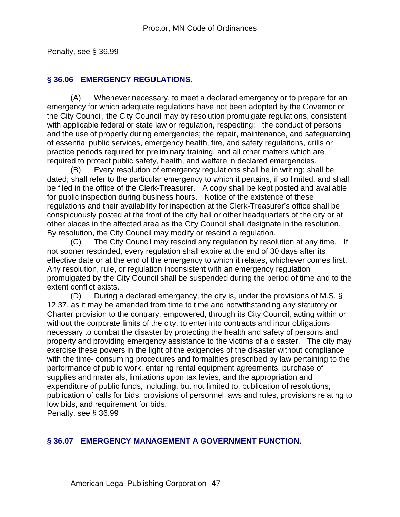Penalty, see § 36.99

#### **§ 36.06 EMERGENCY REGULATIONS.**

(A) Whenever necessary, to meet a declared emergency or to prepare for an emergency for which adequate regulations have not been adopted by the Governor or the City Council, the City Council may by resolution promulgate regulations, consistent with applicable federal or state law or regulation, respecting: the conduct of persons and the use of property during emergencies; the repair, maintenance, and safeguarding of essential public services, emergency health, fire, and safety regulations, drills or practice periods required for preliminary training, and all other matters which are required to protect public safety, health, and welfare in declared emergencies.

(B) Every resolution of emergency regulations shall be in writing; shall be dated; shall refer to the particular emergency to which it pertains, if so limited, and shall be filed in the office of the Clerk-Treasurer. A copy shall be kept posted and available for public inspection during business hours. Notice of the existence of these regulations and their availability for inspection at the Clerk-Treasurer's office shall be conspicuously posted at the front of the city hall or other headquarters of the city or at other places in the affected area as the City Council shall designate in the resolution. By resolution, the City Council may modify or rescind a regulation.

(C) The City Council may rescind any regulation by resolution at any time. If not sooner rescinded, every regulation shall expire at the end of 30 days after its effective date or at the end of the emergency to which it relates, whichever comes first. Any resolution, rule, or regulation inconsistent with an emergency regulation promulgated by the City Council shall be suspended during the period of time and to the extent conflict exists.

(D) During a declared emergency, the city is, under the provisions of M.S.  $\S$ 12.37, as it may be amended from time to time and notwithstanding any statutory or Charter provision to the contrary, empowered, through its City Council, acting within or without the corporate limits of the city, to enter into contracts and incur obligations necessary to combat the disaster by protecting the health and safety of persons and property and providing emergency assistance to the victims of a disaster. The city may exercise these powers in the light of the exigencies of the disaster without compliance with the time- consuming procedures and formalities prescribed by law pertaining to the performance of public work, entering rental equipment agreements, purchase of supplies and materials, limitations upon tax levies, and the appropriation and expenditure of public funds, including, but not limited to, publication of resolutions, publication of calls for bids, provisions of personnel laws and rules, provisions relating to low bids, and requirement for bids.

Penalty, see § 36.99

#### **§ 36.07 EMERGENCY MANAGEMENT A GOVERNMENT FUNCTION.**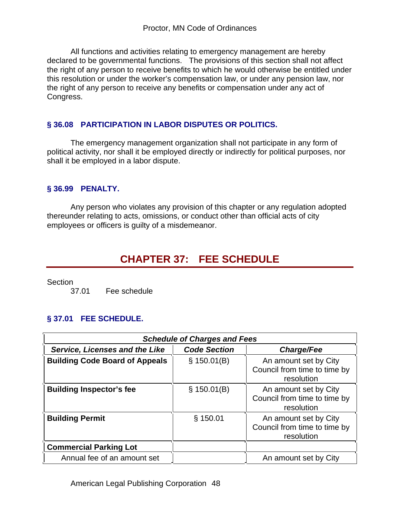All functions and activities relating to emergency management are hereby declared to be governmental functions. The provisions of this section shall not affect the right of any person to receive benefits to which he would otherwise be entitled under this resolution or under the worker's compensation law, or under any pension law, nor the right of any person to receive any benefits or compensation under any act of Congress.

## **§ 36.08 PARTICIPATION IN LABOR DISPUTES OR POLITICS.**

The emergency management organization shall not participate in any form of political activity, nor shall it be employed directly or indirectly for political purposes, nor shall it be employed in a labor dispute.

#### **§ 36.99 PENALTY.**

Any person who violates any provision of this chapter or any regulation adopted thereunder relating to acts, omissions, or conduct other than official acts of city employees or officers is guilty of a misdemeanor.

# **CHAPTER 37: FEE SCHEDULE**

Section

37.01 Fee schedule

## **§ 37.01 FEE SCHEDULE.**

| <b>Schedule of Charges and Fees</b>   |                     |                                                                     |
|---------------------------------------|---------------------|---------------------------------------------------------------------|
| Service, Licenses and the Like        | <b>Code Section</b> | <b>Charge/Fee</b>                                                   |
| <b>Building Code Board of Appeals</b> | \$150.01(B)         | An amount set by City<br>Council from time to time by<br>resolution |
| <b>Building Inspector's fee</b>       | \$150.01(B)         | An amount set by City<br>Council from time to time by<br>resolution |
| <b>Building Permit</b>                | \$150.01            | An amount set by City<br>Council from time to time by<br>resolution |
| <b>Commercial Parking Lot</b>         |                     |                                                                     |
| Annual fee of an amount set           |                     | An amount set by City                                               |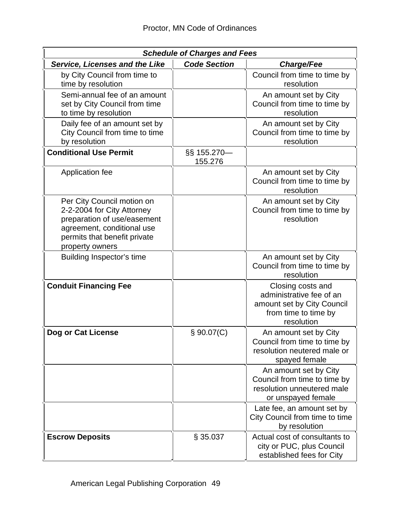| <b>Schedule of Charges and Fees</b>                                                                                                                                      |                        |                                                                                                                   |  |
|--------------------------------------------------------------------------------------------------------------------------------------------------------------------------|------------------------|-------------------------------------------------------------------------------------------------------------------|--|
| <b>Service, Licenses and the Like</b>                                                                                                                                    | <b>Code Section</b>    | <b>Charge/Fee</b>                                                                                                 |  |
| by City Council from time to<br>time by resolution                                                                                                                       |                        | Council from time to time by<br>resolution                                                                        |  |
| Semi-annual fee of an amount<br>set by City Council from time<br>to time by resolution                                                                                   |                        | An amount set by City<br>Council from time to time by<br>resolution                                               |  |
| Daily fee of an amount set by<br>City Council from time to time<br>by resolution                                                                                         |                        | An amount set by City<br>Council from time to time by<br>resolution                                               |  |
| <b>Conditional Use Permit</b>                                                                                                                                            | §§ 155.270-<br>155.276 |                                                                                                                   |  |
| Application fee                                                                                                                                                          |                        | An amount set by City<br>Council from time to time by<br>resolution                                               |  |
| Per City Council motion on<br>2-2-2004 for City Attorney<br>preparation of use/easement<br>agreement, conditional use<br>permits that benefit private<br>property owners |                        | An amount set by City<br>Council from time to time by<br>resolution                                               |  |
| Building Inspector's time                                                                                                                                                |                        | An amount set by City<br>Council from time to time by<br>resolution                                               |  |
| <b>Conduit Financing Fee</b>                                                                                                                                             |                        | Closing costs and<br>administrative fee of an<br>amount set by City Council<br>from time to time by<br>resolution |  |
| Dog or Cat License                                                                                                                                                       | \$90.07(C)             | An amount set by City<br>Council from time to time by<br>resolution neutered male or<br>spayed female             |  |
|                                                                                                                                                                          |                        | An amount set by City<br>Council from time to time by<br>resolution unneutered male<br>or unspayed female         |  |
|                                                                                                                                                                          |                        | Late fee, an amount set by<br>City Council from time to time<br>by resolution                                     |  |
| <b>Escrow Deposits</b>                                                                                                                                                   | § 35.037               | Actual cost of consultants to<br>city or PUC, plus Council<br>established fees for City                           |  |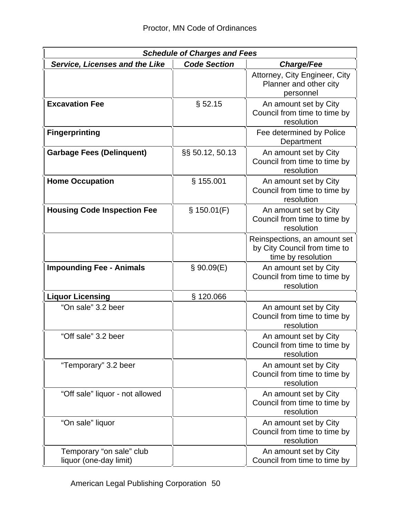| <b>Schedule of Charges and Fees</b>                |                     |                                                                                    |
|----------------------------------------------------|---------------------|------------------------------------------------------------------------------------|
| <b>Service, Licenses and the Like</b>              | <b>Code Section</b> | <b>Charge/Fee</b>                                                                  |
|                                                    |                     | Attorney, City Engineer, City<br>Planner and other city<br>personnel               |
| <b>Excavation Fee</b>                              | § 52.15             | An amount set by City<br>Council from time to time by<br>resolution                |
| <b>Fingerprinting</b>                              |                     | Fee determined by Police<br>Department                                             |
| <b>Garbage Fees (Delinquent)</b>                   | §§ 50.12, 50.13     | An amount set by City<br>Council from time to time by<br>resolution                |
| <b>Home Occupation</b>                             | § 155.001           | An amount set by City<br>Council from time to time by<br>resolution                |
| <b>Housing Code Inspection Fee</b>                 | \$150.01(F)         | An amount set by City<br>Council from time to time by<br>resolution                |
|                                                    |                     | Reinspections, an amount set<br>by City Council from time to<br>time by resolution |
| <b>Impounding Fee - Animals</b>                    | \$90.09(E)          | An amount set by City<br>Council from time to time by<br>resolution                |
| <b>Liquor Licensing</b>                            | §120.066            |                                                                                    |
| "On sale" 3.2 beer                                 |                     | An amount set by City<br>Council from time to time by<br>resolution                |
| "Off sale" 3.2 beer                                |                     | An amount set by City<br>Council from time to time by<br>resolution                |
| "Temporary" 3.2 beer                               |                     | An amount set by City<br>Council from time to time by<br>resolution                |
| "Off sale" liquor - not allowed                    |                     | An amount set by City<br>Council from time to time by<br>resolution                |
| "On sale" liquor                                   |                     | An amount set by City<br>Council from time to time by<br>resolution                |
| Temporary "on sale" club<br>liquor (one-day limit) |                     | An amount set by City<br>Council from time to time by                              |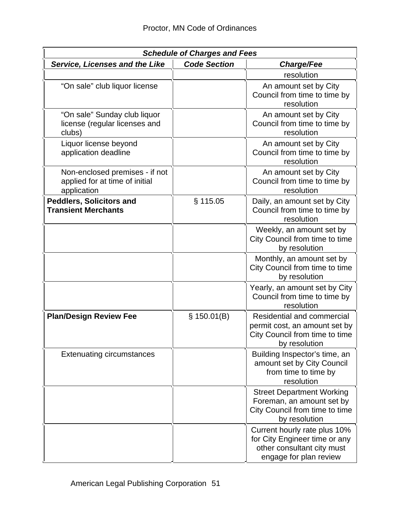| <b>Schedule of Charges and Fees</b>                                             |                     |                                                                                                                       |
|---------------------------------------------------------------------------------|---------------------|-----------------------------------------------------------------------------------------------------------------------|
| <b>Service, Licenses and the Like</b>                                           | <b>Code Section</b> | <b>Charge/Fee</b>                                                                                                     |
|                                                                                 |                     | resolution                                                                                                            |
| "On sale" club liquor license                                                   |                     | An amount set by City<br>Council from time to time by<br>resolution                                                   |
| "On sale" Sunday club liquor<br>license (regular licenses and<br>clubs)         |                     | An amount set by City<br>Council from time to time by<br>resolution                                                   |
| Liquor license beyond<br>application deadline                                   |                     | An amount set by City<br>Council from time to time by<br>resolution                                                   |
| Non-enclosed premises - if not<br>applied for at time of initial<br>application |                     | An amount set by City<br>Council from time to time by<br>resolution                                                   |
| <b>Peddlers, Solicitors and</b><br><b>Transient Merchants</b>                   | § 115.05            | Daily, an amount set by City<br>Council from time to time by<br>resolution                                            |
|                                                                                 |                     | Weekly, an amount set by<br>City Council from time to time<br>by resolution                                           |
|                                                                                 |                     | Monthly, an amount set by<br>City Council from time to time<br>by resolution                                          |
|                                                                                 |                     | Yearly, an amount set by City<br>Council from time to time by<br>resolution                                           |
| <b>Plan/Design Review Fee</b>                                                   | \$150.01(B)         | Residential and commercial<br>permit cost, an amount set by<br>City Council from time to time<br>by resolution        |
| <b>Extenuating circumstances</b>                                                |                     | Building Inspector's time, an<br>amount set by City Council<br>from time to time by<br>resolution                     |
|                                                                                 |                     | <b>Street Department Working</b><br>Foreman, an amount set by<br>City Council from time to time<br>by resolution      |
|                                                                                 |                     | Current hourly rate plus 10%<br>for City Engineer time or any<br>other consultant city must<br>engage for plan review |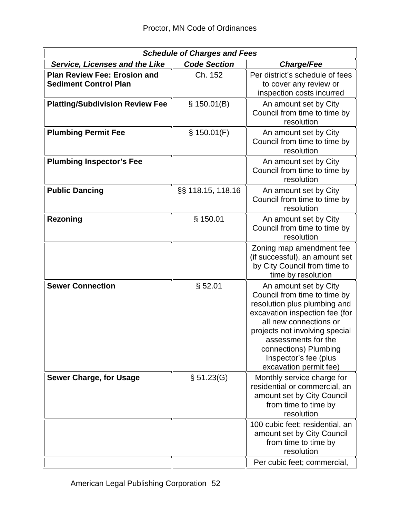| <b>Schedule of Charges and Fees</b>                                 |                     |                                                                                                                                                                                                                                                                                        |
|---------------------------------------------------------------------|---------------------|----------------------------------------------------------------------------------------------------------------------------------------------------------------------------------------------------------------------------------------------------------------------------------------|
| <b>Service, Licenses and the Like</b>                               | <b>Code Section</b> | <b>Charge/Fee</b>                                                                                                                                                                                                                                                                      |
| <b>Plan Review Fee: Erosion and</b><br><b>Sediment Control Plan</b> | Ch. 152             | Per district's schedule of fees<br>to cover any review or<br>inspection costs incurred                                                                                                                                                                                                 |
| <b>Platting/Subdivision Review Fee</b>                              | \$150.01(B)         | An amount set by City<br>Council from time to time by<br>resolution                                                                                                                                                                                                                    |
| <b>Plumbing Permit Fee</b>                                          | \$150.01(F)         | An amount set by City<br>Council from time to time by<br>resolution                                                                                                                                                                                                                    |
| <b>Plumbing Inspector's Fee</b>                                     |                     | An amount set by City<br>Council from time to time by<br>resolution                                                                                                                                                                                                                    |
| <b>Public Dancing</b>                                               | §§ 118.15, 118.16   | An amount set by City<br>Council from time to time by<br>resolution                                                                                                                                                                                                                    |
| <b>Rezoning</b>                                                     | $§$ 150.01          | An amount set by City<br>Council from time to time by<br>resolution                                                                                                                                                                                                                    |
|                                                                     |                     | Zoning map amendment fee<br>(if successful), an amount set<br>by City Council from time to<br>time by resolution                                                                                                                                                                       |
| <b>Sewer Connection</b>                                             | § 52.01             | An amount set by City<br>Council from time to time by<br>resolution plus plumbing and<br>excavation inspection fee (for<br>all new connections or<br>projects not involving special<br>assessments for the<br>connections) Plumbing<br>Inspector's fee (plus<br>excavation permit fee) |
| <b>Sewer Charge, for Usage</b>                                      | \$51.23(G)          | Monthly service charge for<br>residential or commercial, an<br>amount set by City Council<br>from time to time by<br>resolution                                                                                                                                                        |
|                                                                     |                     | 100 cubic feet; residential, an<br>amount set by City Council<br>from time to time by<br>resolution                                                                                                                                                                                    |
|                                                                     |                     | Per cubic feet; commercial,                                                                                                                                                                                                                                                            |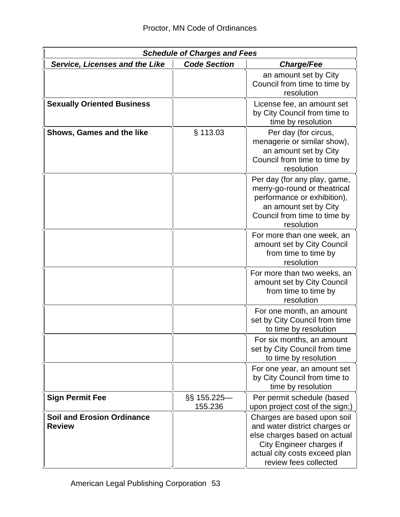| <b>Schedule of Charges and Fees</b>                |                          |                                                                                                                                                                                    |
|----------------------------------------------------|--------------------------|------------------------------------------------------------------------------------------------------------------------------------------------------------------------------------|
| <b>Service, Licenses and the Like</b>              | <b>Code Section</b>      | <b>Charge/Fee</b>                                                                                                                                                                  |
|                                                    |                          | an amount set by City<br>Council from time to time by<br>resolution                                                                                                                |
| <b>Sexually Oriented Business</b>                  |                          | License fee, an amount set<br>by City Council from time to<br>time by resolution                                                                                                   |
| Shows, Games and the like                          | $§$ 113.03               | Per day (for circus,<br>menagerie or similar show),<br>an amount set by City<br>Council from time to time by<br>resolution                                                         |
|                                                    |                          | Per day (for any play, game,<br>merry-go-round or theatrical<br>performance or exhibition),<br>an amount set by City<br>Council from time to time by<br>resolution                 |
|                                                    |                          | For more than one week, an<br>amount set by City Council<br>from time to time by<br>resolution                                                                                     |
|                                                    |                          | For more than two weeks, an<br>amount set by City Council<br>from time to time by<br>resolution                                                                                    |
|                                                    |                          | For one month, an amount<br>set by City Council from time<br>to time by resolution                                                                                                 |
|                                                    |                          | For six months, an amount<br>set by City Council from time<br>to time by resolution                                                                                                |
|                                                    |                          | For one year, an amount set<br>by City Council from time to<br>time by resolution                                                                                                  |
| <b>Sign Permit Fee</b>                             | $\S$ 155.225—<br>155.236 | Per permit schedule (based<br>upon project cost of the sign;)                                                                                                                      |
| <b>Soil and Erosion Ordinance</b><br><b>Review</b> |                          | Charges are based upon soil<br>and water district charges or<br>else charges based on actual<br>City Engineer charges if<br>actual city costs exceed plan<br>review fees collected |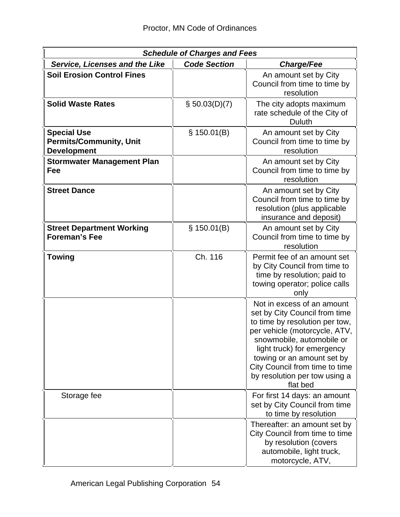| <b>Schedule of Charges and Fees</b>                                        |                     |                                                                                                                                                                                                                                                                                                        |
|----------------------------------------------------------------------------|---------------------|--------------------------------------------------------------------------------------------------------------------------------------------------------------------------------------------------------------------------------------------------------------------------------------------------------|
| <b>Service, Licenses and the Like</b>                                      | <b>Code Section</b> | <b>Charge/Fee</b>                                                                                                                                                                                                                                                                                      |
| <b>Soil Erosion Control Fines</b>                                          |                     | An amount set by City<br>Council from time to time by<br>resolution                                                                                                                                                                                                                                    |
| <b>Solid Waste Rates</b>                                                   | $\S 50.03(D)(7)$    | The city adopts maximum<br>rate schedule of the City of<br>Duluth                                                                                                                                                                                                                                      |
| <b>Special Use</b><br><b>Permits/Community, Unit</b><br><b>Development</b> | \$150.01(B)         | An amount set by City<br>Council from time to time by<br>resolution                                                                                                                                                                                                                                    |
| <b>Stormwater Management Plan</b><br>Fee                                   |                     | An amount set by City<br>Council from time to time by<br>resolution                                                                                                                                                                                                                                    |
| <b>Street Dance</b>                                                        |                     | An amount set by City<br>Council from time to time by<br>resolution (plus applicable<br>insurance and deposit)                                                                                                                                                                                         |
| <b>Street Department Working</b><br><b>Foreman's Fee</b>                   | \$150.01(B)         | An amount set by City<br>Council from time to time by<br>resolution                                                                                                                                                                                                                                    |
| <b>Towing</b>                                                              | Ch. 116             | Permit fee of an amount set<br>by City Council from time to<br>time by resolution; paid to<br>towing operator; police calls<br>only                                                                                                                                                                    |
|                                                                            |                     | Not in excess of an amount<br>set by City Council from time<br>to time by resolution per tow,<br>per vehicle (motorcycle, ATV,<br>snowmobile, automobile or<br>light truck) for emergency<br>towing or an amount set by<br>City Council from time to time<br>by resolution per tow using a<br>flat bed |
| Storage fee                                                                |                     | For first 14 days: an amount<br>set by City Council from time<br>to time by resolution                                                                                                                                                                                                                 |
|                                                                            |                     | Thereafter: an amount set by<br>City Council from time to time<br>by resolution (covers<br>automobile, light truck,<br>motorcycle, ATV,                                                                                                                                                                |